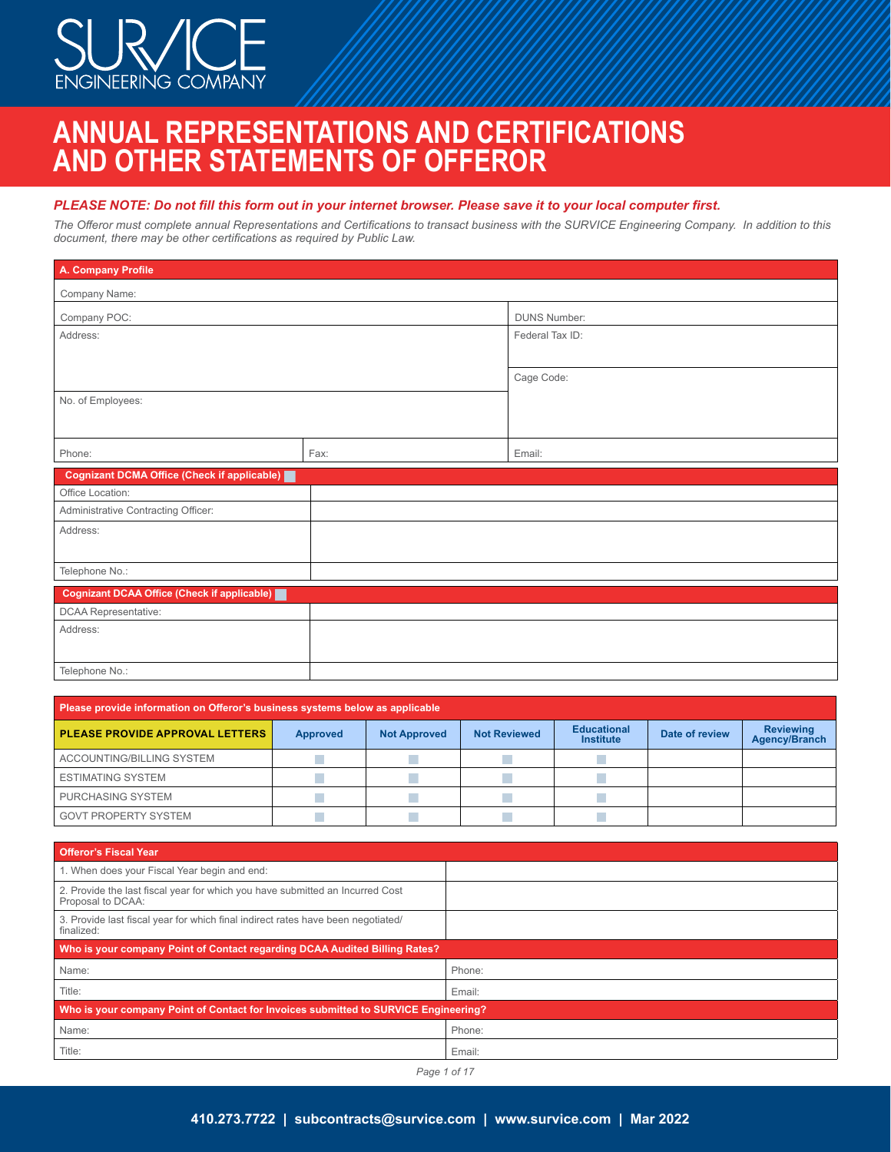

## *PLEASE NOTE: Do not fill this form out in your internet browser. Please save it to your local computer first.*

*The Offeror must complete annual Representations and Certifications to transact business with the SURVICE Engineering Company. In addition to this document, there may be other certifications as required by Public Law.*

| A. Company Profile                          |      |                     |  |
|---------------------------------------------|------|---------------------|--|
| Company Name:                               |      |                     |  |
| Company POC:                                |      | <b>DUNS Number:</b> |  |
| Address:                                    |      | Federal Tax ID:     |  |
|                                             |      |                     |  |
|                                             |      | Cage Code:          |  |
| No. of Employees:                           |      |                     |  |
|                                             |      |                     |  |
| Phone:                                      | Fax: | Email:              |  |
| Cognizant DCMA Office (Check if applicable) |      |                     |  |
| Office Location:                            |      |                     |  |
| Administrative Contracting Officer:         |      |                     |  |
| Address:                                    |      |                     |  |
|                                             |      |                     |  |
| Telephone No.:                              |      |                     |  |
| Cognizant DCAA Office (Check if applicable) |      |                     |  |
| DCAA Representative:                        |      |                     |  |
| Address:                                    |      |                     |  |
|                                             |      |                     |  |
| Telephone No.:                              |      |                     |  |

| Please provide information on Offeror's business systems below as applicable |                 |                     |                     |                                        |                |                                   |
|------------------------------------------------------------------------------|-----------------|---------------------|---------------------|----------------------------------------|----------------|-----------------------------------|
| <b>PLEASE PROVIDE APPROVAL LETTERS</b>                                       | <b>Approved</b> | <b>Not Approved</b> | <b>Not Reviewed</b> | <b>Educational</b><br><b>Institute</b> | Date of review | <b>Reviewing</b><br>Agency/Branch |
| ACCOUNTING/BILLING SYSTEM                                                    |                 |                     |                     |                                        |                |                                   |
| <b>ESTIMATING SYSTEM</b>                                                     |                 |                     |                     |                                        |                |                                   |
| PURCHASING SYSTEM                                                            |                 |                     |                     |                                        |                |                                   |
| <b>GOVT PROPERTY SYSTEM</b>                                                  |                 |                     |                     |                                        |                |                                   |

| <b>Offeror's Fiscal Year</b>                                                                       |        |  |  |
|----------------------------------------------------------------------------------------------------|--------|--|--|
| 1. When does your Fiscal Year begin and end:                                                       |        |  |  |
| 2. Provide the last fiscal year for which you have submitted an Incurred Cost<br>Proposal to DCAA: |        |  |  |
| 3. Provide last fiscal year for which final indirect rates have been negotiated/<br>finalized:     |        |  |  |
| Who is your company Point of Contact regarding DCAA Audited Billing Rates?                         |        |  |  |
| Name:                                                                                              | Phone: |  |  |
| Title:                                                                                             | Email: |  |  |
| Who is your company Point of Contact for Invoices submitted to SURVICE Engineering?                |        |  |  |
| Name:                                                                                              | Phone: |  |  |
| Title:                                                                                             | Email: |  |  |
| $P$ ane 1 of 17                                                                                    |        |  |  |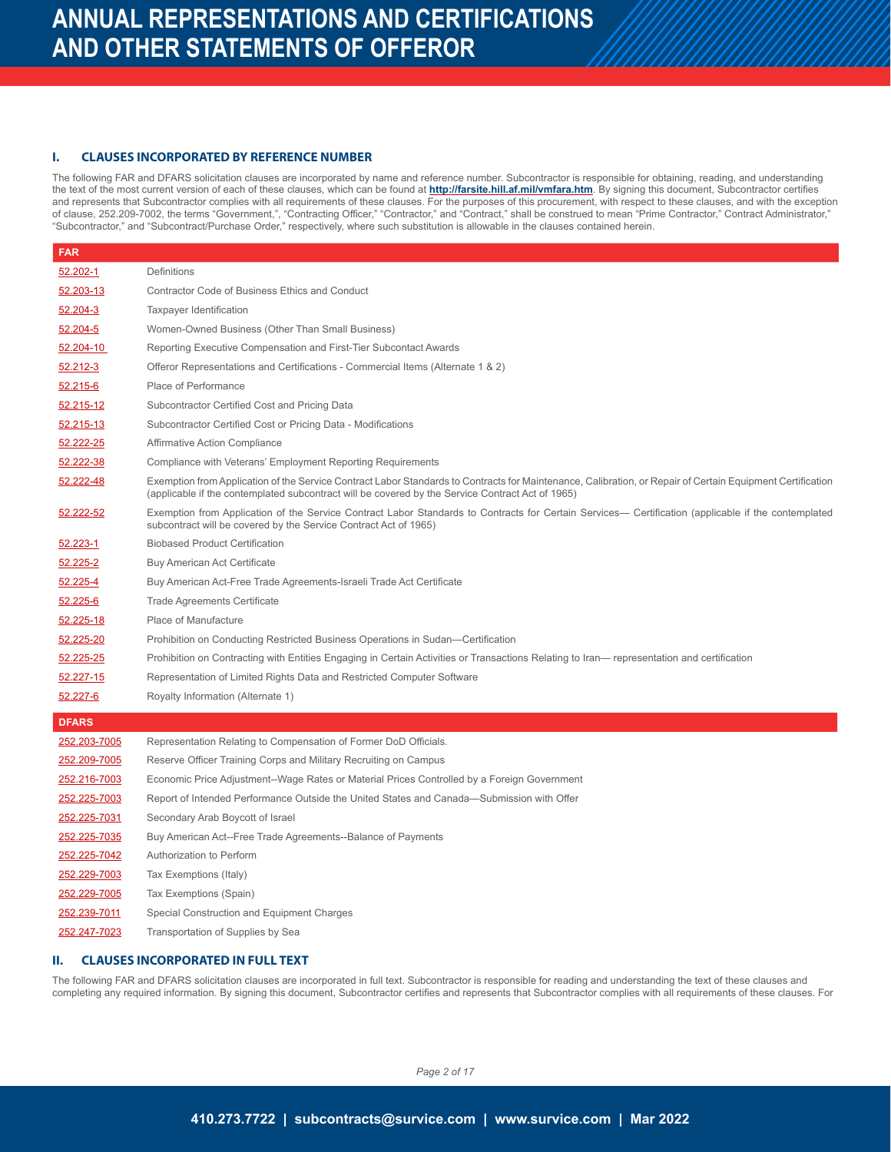### **I. CLAUSES INCORPORATED BY REFERENCE NUMBER**

The following FAR and DFARS solicitation clauses are incorporated by name and reference number. Subcontractor is responsible for obtaining, reading, and understanding the text of the most current version of each of these clauses, which can be found at **<http://farsite.hill.af.mil/vmfara.htm>**. By signing this document, Subcontractor certifies and represents that Subcontractor complies with all requirements of these clauses. For the purposes of this procurement, with respect to these clauses, and with the exception of clause, 252.209-7002, the terms "Government,", "Contracting Officer," "Contractor," and "Contract," shall be construed to mean "Prime Contractor," Contract Administrator," "Subcontractor," and "Subcontract/Purchase Order," respectively, where such substitution is allowable in the clauses contained herein.

| <b>FAR</b>   |                                                                                                                                                                                                                                                                |
|--------------|----------------------------------------------------------------------------------------------------------------------------------------------------------------------------------------------------------------------------------------------------------------|
| 52.202-1     | Definitions                                                                                                                                                                                                                                                    |
| 52.203-13    | Contractor Code of Business Ethics and Conduct                                                                                                                                                                                                                 |
| 52.204-3     | Taxpayer Identification                                                                                                                                                                                                                                        |
| 52.204-5     | Women-Owned Business (Other Than Small Business)                                                                                                                                                                                                               |
| 52.204-10    | Reporting Executive Compensation and First-Tier Subcontact Awards                                                                                                                                                                                              |
| 52.212-3     | Offeror Representations and Certifications - Commercial Items (Alternate 1 & 2)                                                                                                                                                                                |
| 52.215-6     | Place of Performance                                                                                                                                                                                                                                           |
| 52.215-12    | Subcontractor Certified Cost and Pricing Data                                                                                                                                                                                                                  |
| 52.215-13    | Subcontractor Certified Cost or Pricing Data - Modifications                                                                                                                                                                                                   |
| 52.222-25    | Affirmative Action Compliance                                                                                                                                                                                                                                  |
| 52.222-38    | Compliance with Veterans' Employment Reporting Requirements                                                                                                                                                                                                    |
| 52.222-48    | Exemption from Application of the Service Contract Labor Standards to Contracts for Maintenance, Calibration, or Repair of Certain Equipment Certification<br>(applicable if the contemplated subcontract will be covered by the Service Contract Act of 1965) |
| 52.222-52    | Exemption from Application of the Service Contract Labor Standards to Contracts for Certain Services— Certification (applicable if the contemplated<br>subcontract will be covered by the Service Contract Act of 1965)                                        |
| 52.223-1     | <b>Biobased Product Certification</b>                                                                                                                                                                                                                          |
| 52.225-2     | Buy American Act Certificate                                                                                                                                                                                                                                   |
| 52.225-4     | Buy American Act-Free Trade Agreements-Israeli Trade Act Certificate                                                                                                                                                                                           |
| 52.225-6     | <b>Trade Agreements Certificate</b>                                                                                                                                                                                                                            |
| 52.225-18    | Place of Manufacture                                                                                                                                                                                                                                           |
| 52.225-20    | Prohibition on Conducting Restricted Business Operations in Sudan—Certification                                                                                                                                                                                |
| 52.225-25    | Prohibition on Contracting with Entities Engaging in Certain Activities or Transactions Relating to Iran— representation and certification                                                                                                                     |
| 52.227-15    | Representation of Limited Rights Data and Restricted Computer Software                                                                                                                                                                                         |
| 52.227-6     | Royalty Information (Alternate 1)                                                                                                                                                                                                                              |
| <b>DFARS</b> |                                                                                                                                                                                                                                                                |
| 252.203-7005 | Representation Relating to Compensation of Former DoD Officials.                                                                                                                                                                                               |
| 252.209-7005 | Reserve Officer Training Corps and Military Recruiting on Campus                                                                                                                                                                                               |
| 252.216-7003 | Economic Price Adjustment--Wage Rates or Material Prices Controlled by a Foreign Government                                                                                                                                                                    |
| 252.225-7003 | Report of Intended Performance Outside the United States and Canada—Submission with Offer                                                                                                                                                                      |
| 252.225-7031 | Secondary Arab Boycott of Israel                                                                                                                                                                                                                               |
| 252.225-7035 | Buy American Act--Free Trade Agreements--Balance of Payments                                                                                                                                                                                                   |
| 252.225-7042 | Authorization to Perform                                                                                                                                                                                                                                       |
| 252.229-7003 | Tax Exemptions (Italy)                                                                                                                                                                                                                                         |
| 252.229-7005 | Tax Exemptions (Spain)                                                                                                                                                                                                                                         |
| 252.239-7011 | Special Construction and Equipment Charges                                                                                                                                                                                                                     |
| 252.247-7023 | Transportation of Supplies by Sea                                                                                                                                                                                                                              |

### **II. CLAUSES INCORPORATED IN FULL TEXT**

The following FAR and DFARS solicitation clauses are incorporated in full text. Subcontractor is responsible for reading and understanding the text of these clauses and completing any required information. By signing this document, Subcontractor certifies and represents that Subcontractor complies with all requirements of these clauses. For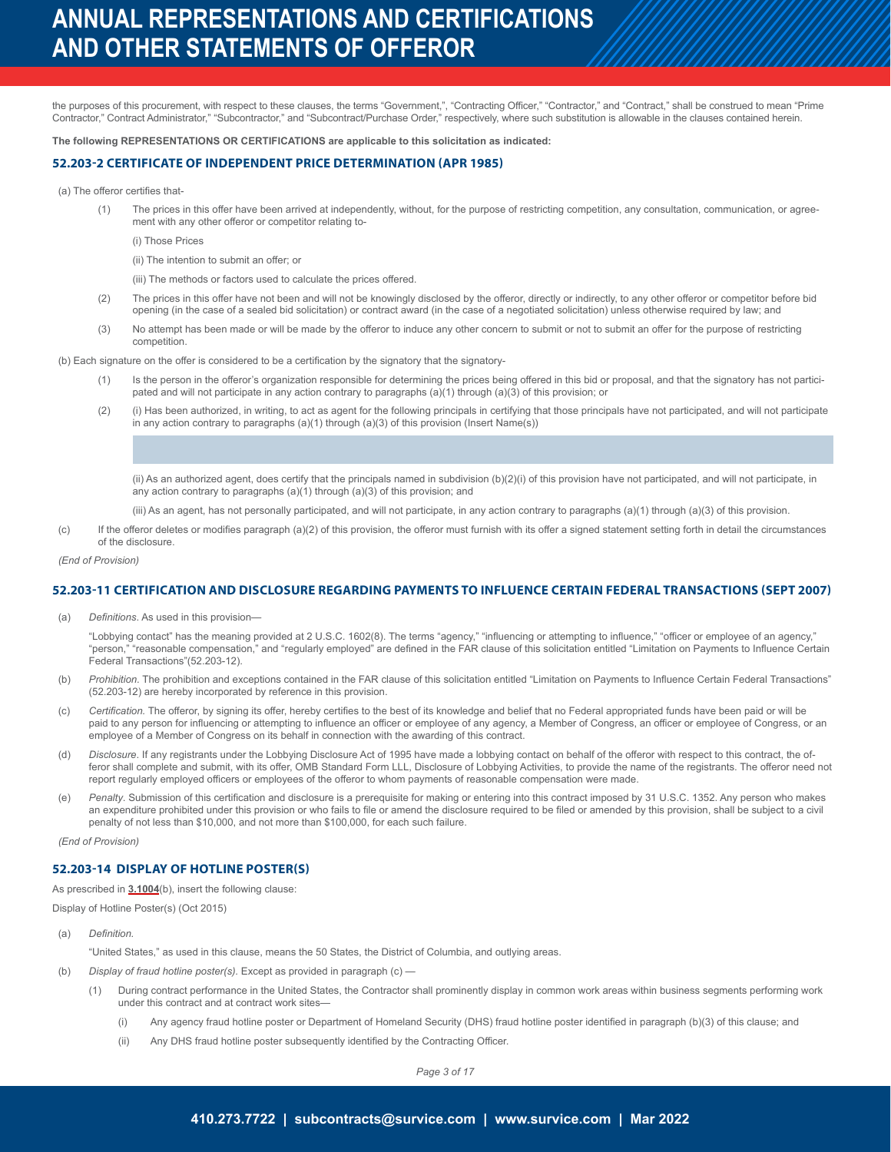the purposes of this procurement, with respect to these clauses, the terms "Government,", "Contracting Officer," "Contractor," and "Contract," shall be construed to mean "Prime Contractor," Contract Administrator," "Subcontractor," and "Subcontract/Purchase Order," respectively, where such substitution is allowable in the clauses contained herein.

#### **The following REPRESENTATIONS OR CERTIFICATIONS are applicable to this solicitation as indicated:**

## **52.203-2 CERTIFICATE OF INDEPENDENT PRICE DETERMINATION (APR 1985)**

(a) The offeror certifies that-

- (1) The prices in this offer have been arrived at independently, without, for the purpose of restricting competition, any consultation, communication, or agreement with any other offeror or competitor relating to-
	- (i) Those Prices
	- (ii) The intention to submit an offer; or
	- (iii) The methods or factors used to calculate the prices offered.
- (2) The prices in this offer have not been and will not be knowingly disclosed by the offeror, directly or indirectly, to any other offeror or competitor before bid opening (in the case of a sealed bid solicitation) or contract award (in the case of a negotiated solicitation) unless otherwise required by law; and
- (3) No attempt has been made or will be made by the offeror to induce any other concern to submit or not to submit an offer for the purpose of restricting competition.

(b) Each signature on the offer is considered to be a certification by the signatory that the signatory-

- Is the person in the offeror's organization responsible for determining the prices being offered in this bid or proposal, and that the signatory has not participated and will not participate in any action contrary to paragraphs (a)(1) through (a)(3) of this provision; or
- (2) (i) Has been authorized, in writing, to act as agent for the following principals in certifying that those principals have not participated, and will not participate in any action contrary to paragraphs (a)(1) through (a)(3) of this provision (Insert Name(s))

(ii) As an authorized agent, does certify that the principals named in subdivision (b)(2)(i) of this provision have not participated, and will not participate, in any action contrary to paragraphs (a)(1) through (a)(3) of this provision; and

(iii) As an agent, has not personally participated, and will not participate, in any action contrary to paragraphs (a)(1) through (a)(3) of this provision.

(c) If the offeror deletes or modifies paragraph (a)(2) of this provision, the offeror must furnish with its offer a signed statement setting forth in detail the circumstances of the disclosure.

### *(End of Provision)*

### **52.203-11 CERTIFICATION AND DISCLOSURE REGARDING PAYMENTS TO INFLUENCE CERTAIN FEDERAL TRANSACTIONS (SEPT 2007)**

(a) *Definitions*. As used in this provision—

"Lobbying contact" has the meaning provided at 2 U.S.C. 1602(8). The terms "agency," "influencing or attempting to influence," "officer or employee of an agency," "person," "reasonable compensation," and "regularly employed" are defined in the FAR clause of this solicitation entitled "Limitation on Payments to Influence Certain Federal Transactions"(52.203-12).

- (b) *Prohibition.* The prohibition and exceptions contained in the FAR clause of this solicitation entitled "Limitation on Payments to Influence Certain Federal Transactions" (52.203-12) are hereby incorporated by reference in this provision.
- (c) *Certification.* The offeror, by signing its offer, hereby certifies to the best of its knowledge and belief that no Federal appropriated funds have been paid or will be paid to any person for influencing or attempting to influence an officer or employee of any agency, a Member of Congress, an officer or employee of Congress, or an employee of a Member of Congress on its behalf in connection with the awarding of this contract.
- (d) *Disclosure*. If any registrants under the Lobbying Disclosure Act of 1995 have made a lobbying contact on behalf of the offeror with respect to this contract, the offeror shall complete and submit, with its offer, OMB Standard Form LLL, Disclosure of Lobbying Activities, to provide the name of the registrants. The offeror need not report regularly employed officers or employees of the offeror to whom payments of reasonable compensation were made.
- (e) *Penalty*. Submission of this certification and disclosure is a prerequisite for making or entering into this contract imposed by 31 U.S.C. 1352. Any person who makes an expenditure prohibited under this provision or who fails to file or amend the disclosure required to be filed or amended by this provision, shall be subject to a civil penalty of not less than \$10,000, and not more than \$100,000, for each such failure.

*(End of Provision)*

### **52.203-14 DISPLAY OF HOTLINE POSTER(S)**

As prescribed in **3.1004**(b), insert the following clause:

Display of Hotline Poster(s) (Oct 2015)

### (a) *Definition.*

- "United States," as used in this clause, means the 50 States, the District of Columbia, and outlying areas.
- (b) *Display of fraud hotline poster(s).* Except as provided in paragraph (c)
	- (1) During contract performance in the United States, the Contractor shall prominently display in common work areas within business segments performing work under this contract and at contract work sites—
		- (i) Any agency fraud hotline poster or Department of Homeland Security (DHS) fraud hotline poster identified in paragraph (b)(3) of this clause; and
		- (ii) Any DHS fraud hotline poster subsequently identified by the Contracting Officer.

*Page 3 of 17*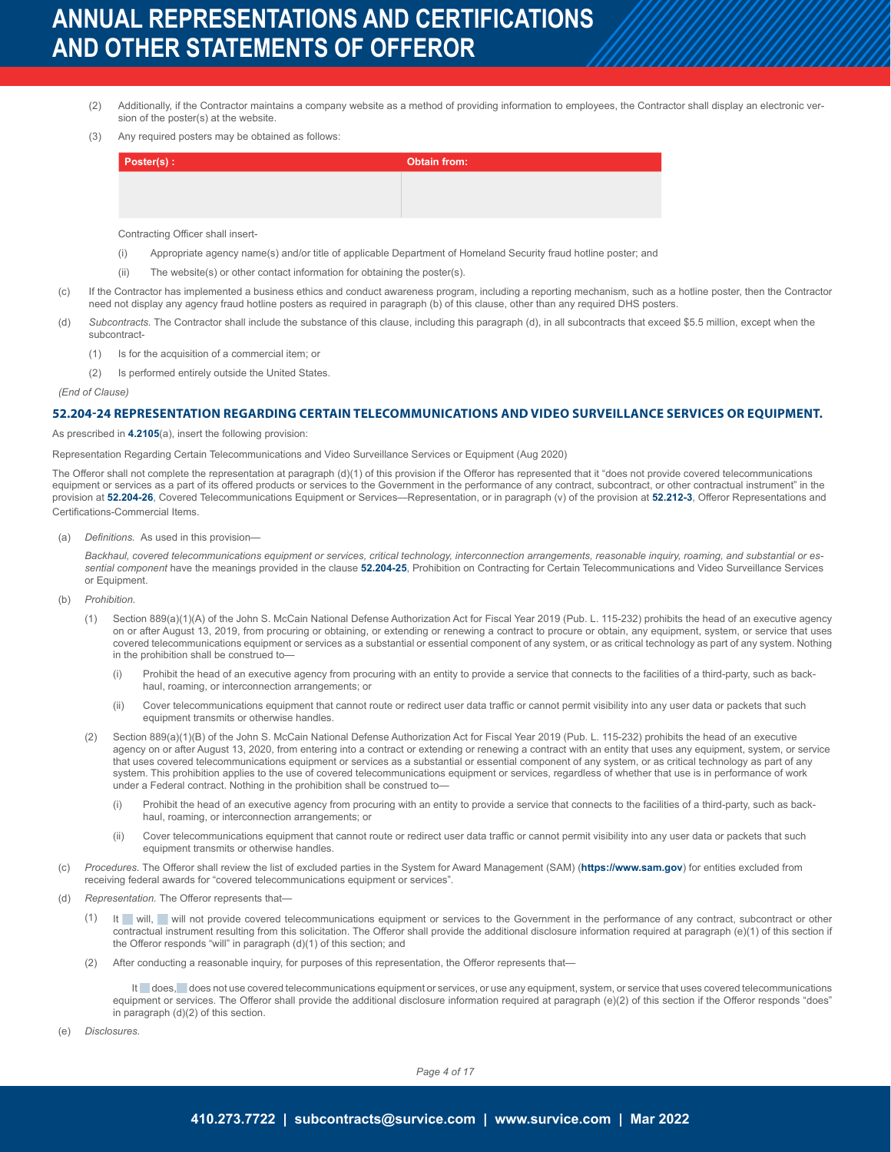- (2) Additionally, if the Contractor maintains a company website as a method of providing information to employees, the Contractor shall display an electronic version of the poster(s) at the website.
- (3) Any required posters may be obtained as follows:

| Poster(s): | <b>Obtain from:</b> |  |
|------------|---------------------|--|
|            |                     |  |
|            |                     |  |

Contracting Officer shall insert-

- (i) Appropriate agency name(s) and/or title of applicable Department of Homeland Security fraud hotline poster; and
- (ii) The website(s) or other contact information for obtaining the poster(s).
- (c) If the Contractor has implemented a business ethics and conduct awareness program, including a reporting mechanism, such as a hotline poster, then the Contractor need not display any agency fraud hotline posters as required in paragraph (b) of this clause, other than any required DHS posters.
- (d) *Subcontracts.* The Contractor shall include the substance of this clause, including this paragraph (d), in all subcontracts that exceed \$5.5 million, except when the subcontract-
	- (1) Is for the acquisition of a commercial item; or
	- (2) Is performed entirely outside the United States.

### *(End of Clause)*

## **52.204-24 REPRESENTATION REGARDING CERTAIN TELECOMMUNICATIONS AND VIDEO SURVEILLANCE SERVICES OR EQUIPMENT.**

### As prescribed in **[4.2105](https://www.acquisition.gov/far/part-4#FAR_4_2105)**(a), insert the following provision:

Representation Regarding Certain Telecommunications and Video Surveillance Services or Equipment (Aug 2020)

The Offeror shall not complete the representation at paragraph (d)(1) of this provision if the Offeror has represented that it "does not provide covered telecommunications equipment or services as a part of its offered products or services to the Government in the performance of any contract, subcontract, or other contractual instrument" in the provision at **[52.204-26](https://www.acquisition.gov/far/part-52#FAR_52_204_26)**, Covered Telecommunications Equipment or Services—Representation, or in paragraph (v) of the provision at **[52.212-3](https://www.acquisition.gov/far/part-52#FAR_52_212_3)**, Offeror Representations and Certifications-Commercial Items.

(a) *Definitions.* As used in this provision—

*Backhaul, covered telecommunications equipment or services, critical technology, interconnection arrangements, reasonable inquiry, roaming, and substantial or essential component* have the meanings provided in the clause **[52.204-25](https://www.acquisition.gov/far/part-52#FAR_52_204_25)**, Prohibition on Contracting for Certain Telecommunications and Video Surveillance Services or Equipment.

- (b) *Prohibition.* 
	- (1) Section 889(a)(1)(A) of the John S. McCain National Defense Authorization Act for Fiscal Year 2019 (Pub. L. 115-232) prohibits the head of an executive agency on or after August 13, 2019, from procuring or obtaining, or extending or renewing a contract to procure or obtain, any equipment, system, or service that uses covered telecommunications equipment or services as a substantial or essential component of any system, or as critical technology as part of any system. Nothing in the prohibition shall be construed to—
		- (i) Prohibit the head of an executive agency from procuring with an entity to provide a service that connects to the facilities of a third-party, such as backhaul, roaming, or interconnection arrangements; or
		- (ii) Cover telecommunications equipment that cannot route or redirect user data traffic or cannot permit visibility into any user data or packets that such equipment transmits or otherwise handles.
	- (2) Section 889(a)(1)(B) of the John S. McCain National Defense Authorization Act for Fiscal Year 2019 (Pub. L. 115-232) prohibits the head of an executive agency on or after August 13, 2020, from entering into a contract or extending or renewing a contract with an entity that uses any equipment, system, or service that uses covered telecommunications equipment or services as a substantial or essential component of any system, or as critical technology as part of any system. This prohibition applies to the use of covered telecommunications equipment or services, regardless of whether that use is in performance of work under a Federal contract. Nothing in the prohibition shall be construed to—
		- (i) Prohibit the head of an executive agency from procuring with an entity to provide a service that connects to the facilities of a third-party, such as backhaul, roaming, or interconnection arrangements; or
		- (ii) Cover telecommunications equipment that cannot route or redirect user data traffic or cannot permit visibility into any user data or packets that such equipment transmits or otherwise handles.
- (c) *Procedures.* The Offeror shall review the list of excluded parties in the System for Award Management (SAM) (**[https://www.sam.gov](https://www.sam.gov/)**) for entities excluded from receiving federal awards for "covered telecommunications equipment or services".
- (d) *Representation.* The Offeror represents that—
	- (1) It will, will not provide covered telecommunications equipment or services to the Government in the performance of any contract, subcontract or other contractual instrument resulting from this solicitation. The Offeror shall provide the additional disclosure information required at paragraph (e)(1) of this section if the Offeror responds "will" in paragraph (d)(1) of this section; and
	- (2) After conducting a reasonable inquiry, for purposes of this representation, the Offeror represents that—

 It does, does not use covered telecommunications equipment or services, or use any equipment, system, or service that uses covered telecommunications equipment or services. The Offeror shall provide the additional disclosure information required at paragraph (e)(2) of this section if the Offeror responds "does" in paragraph (d)(2) of this section.

(e) *Disclosures.*

*Page 4 of 17*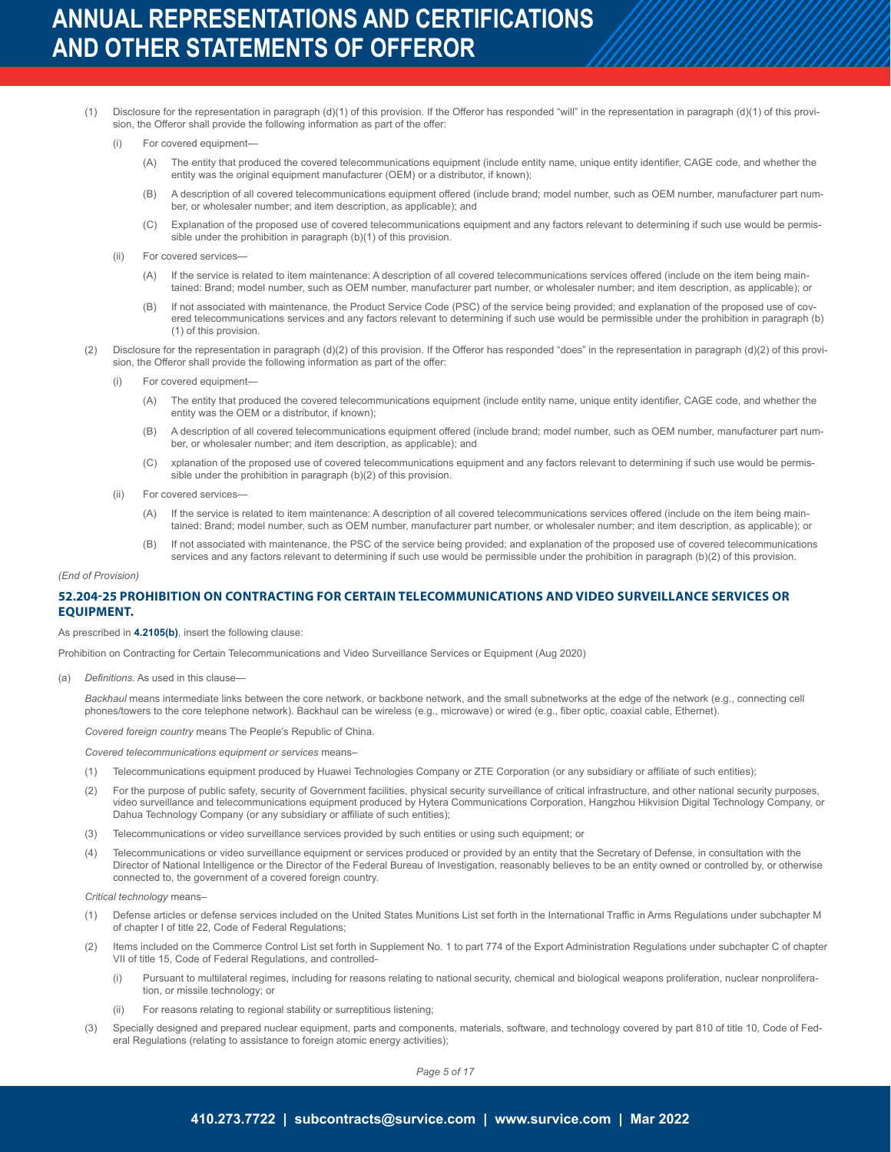- (1) Disclosure for the representation in paragraph (d)(1) of this provision. If the Offeror has responded "will" in the representation in paragraph (d)(1) of this provision, the Offeror shall provide the following information as part of the offer:
	- (i) For covered equipment—
		- (A) The entity that produced the covered telecommunications equipment (include entity name, unique entity identifier, CAGE code, and whether the entity was the original equipment manufacturer (OEM) or a distributor, if known);
		- (B) A description of all covered telecommunications equipment offered (include brand; model number, such as OEM number, manufacturer part number, or wholesaler number; and item description, as applicable); and
		- (C) Explanation of the proposed use of covered telecommunications equipment and any factors relevant to determining if such use would be permissible under the prohibition in paragraph (b)(1) of this provision.
	- (ii) For covered services—
		- (A) If the service is related to item maintenance: A description of all covered telecommunications services offered (include on the item being maintained: Brand; model number, such as OEM number, manufacturer part number, or wholesaler number; and item description, as applicable); or
		- (B) If not associated with maintenance, the Product Service Code (PSC) of the service being provided; and explanation of the proposed use of covered telecommunications services and any factors relevant to determining if such use would be permissible under the prohibition in paragraph (b) (1) of this provision.
- (2) Disclosure for the representation in paragraph (d)(2) of this provision. If the Offeror has responded "does" in the representation in paragraph (d)(2) of this provision, the Offeror shall provide the following information as part of the offer:
	- (i) For covered equipment—
		- (A) The entity that produced the covered telecommunications equipment (include entity name, unique entity identifier, CAGE code, and whether the entity was the OEM or a distributor, if known);
		- (B) A description of all covered telecommunications equipment offered (include brand; model number, such as OEM number, manufacturer part number, or wholesaler number; and item description, as applicable); and
		- (C) xplanation of the proposed use of covered telecommunications equipment and any factors relevant to determining if such use would be permissible under the prohibition in paragraph (b)(2) of this provision.
	- (ii) For covered services—
		- (A) If the service is related to item maintenance: A description of all covered telecommunications services offered (include on the item being maintained: Brand; model number, such as OEM number, manufacturer part number, or wholesaler number; and item description, as applicable); or
		- (B) If not associated with maintenance, the PSC of the service being provided; and explanation of the proposed use of covered telecommunications services and any factors relevant to determining if such use would be permissible under the prohibition in paragraph (b)(2) of this provision.

#### *(End of Provision)*

### **52.204-25 PROHIBITION ON CONTRACTING FOR CERTAIN TELECOMMUNICATIONS AND VIDEO SURVEILLANCE SERVICES OR EQUIPMENT.**

#### As prescribed in **[4.2105\(b\)](https://www.acquisition.gov/far/part-4#FAR_4_2105)**, insert the following clause:

Prohibition on Contracting for Certain Telecommunications and Video Surveillance Services or Equipment (Aug 2020)

(a) *Definitions*. As used in this clause—

*Backhaul* means intermediate links between the core network, or backbone network, and the small subnetworks at the edge of the network (e.g., connecting cell phones/towers to the core telephone network). Backhaul can be wireless (e.g., microwave) or wired (e.g., fiber optic, coaxial cable, Ethernet).

*Covered foreign country* means The People's Republic of China.

*Covered telecommunications equipment or services* means–

- (1) Telecommunications equipment produced by Huawei Technologies Company or ZTE Corporation (or any subsidiary or affiliate of such entities);
- (2) For the purpose of public safety, security of Government facilities, physical security surveillance of critical infrastructure, and other national security purposes, video surveillance and telecommunications equipment produced by Hytera Communications Corporation, Hangzhou Hikvision Digital Technology Company, or Dahua Technology Company (or any subsidiary or affiliate of such entities);
- (3) Telecommunications or video surveillance services provided by such entities or using such equipment; or
- (4) Telecommunications or video surveillance equipment or services produced or provided by an entity that the Secretary of Defense, in consultation with the Director of National Intelligence or the Director of the Federal Bureau of Investigation, reasonably believes to be an entity owned or controlled by, or otherwise connected to, the government of a covered foreign country.

*Critical technology* means–

- (1) Defense articles or defense services included on the United States Munitions List set forth in the International Traffic in Arms Regulations under subchapter M of chapter I of title 22, Code of Federal Regulations;
- (2) Items included on the Commerce Control List set forth in Supplement No. 1 to part 774 of the Export Administration Regulations under subchapter C of chapter VII of title 15, Code of Federal Regulations, and controlled-
	- (i) Pursuant to multilateral regimes, including for reasons relating to national security, chemical and biological weapons proliferation, nuclear nonproliferation, or missile technology; or
	- (ii) For reasons relating to regional stability or surreptitious listening;
- (3) Specially designed and prepared nuclear equipment, parts and components, materials, software, and technology covered by part 810 of title 10, Code of Federal Regulations (relating to assistance to foreign atomic energy activities);

*Page 5 of 17*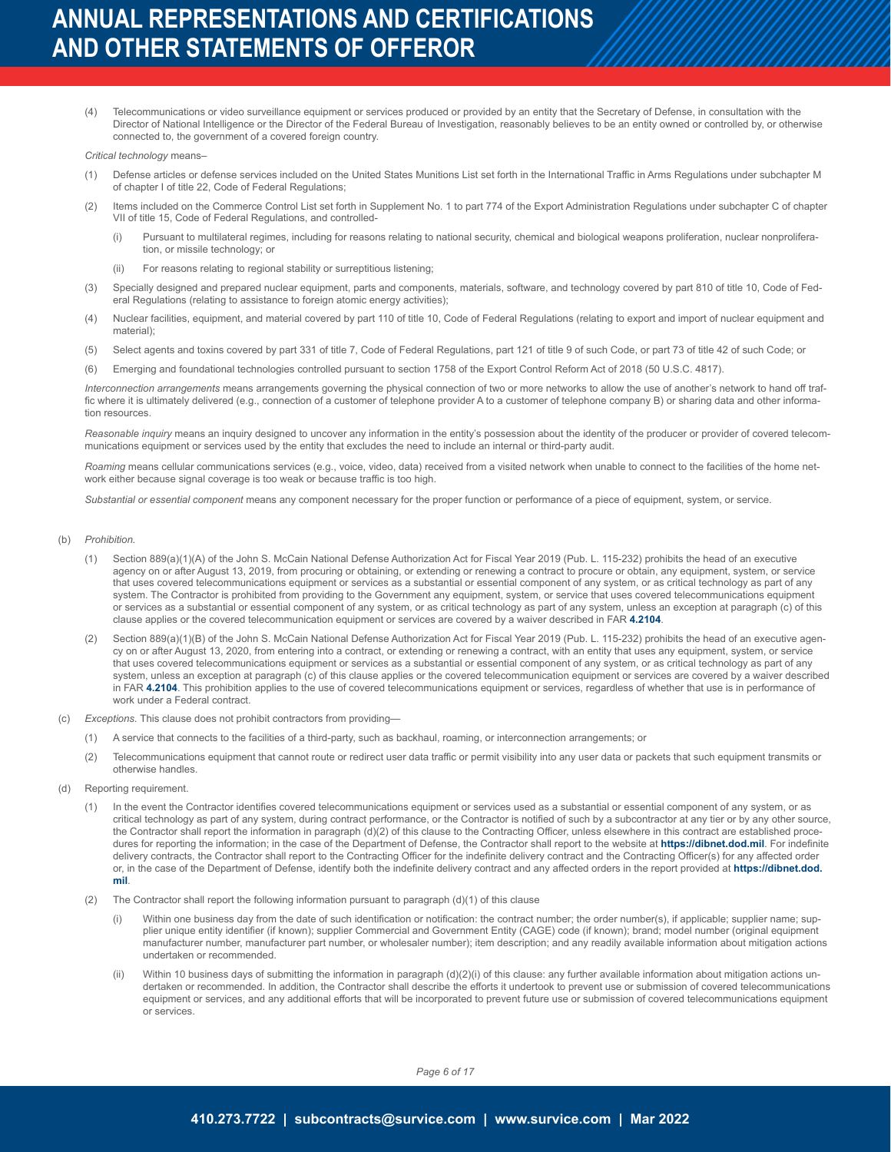(4) Telecommunications or video surveillance equipment or services produced or provided by an entity that the Secretary of Defense, in consultation with the Director of National Intelligence or the Director of the Federal Bureau of Investigation, reasonably believes to be an entity owned or controlled by, or otherwise connected to, the government of a covered foreign country.

*Critical technology* means–

- (1) Defense articles or defense services included on the United States Munitions List set forth in the International Traffic in Arms Regulations under subchapter M of chapter I of title 22, Code of Federal Regulations;
- (2) Items included on the Commerce Control List set forth in Supplement No. 1 to part 774 of the Export Administration Regulations under subchapter C of chapter VII of title 15, Code of Federal Regulations, and controlled-
	- (i) Pursuant to multilateral regimes, including for reasons relating to national security, chemical and biological weapons proliferation, nuclear nonproliferation, or missile technology; or
	- (ii) For reasons relating to regional stability or surreptitious listening;
- (3) Specially designed and prepared nuclear equipment, parts and components, materials, software, and technology covered by part 810 of title 10, Code of Federal Regulations (relating to assistance to foreign atomic energy activities);
- (4) Nuclear facilities, equipment, and material covered by part 110 of title 10, Code of Federal Regulations (relating to export and import of nuclear equipment and material);
- (5) Select agents and toxins covered by part 331 of title 7, Code of Federal Regulations, part 121 of title 9 of such Code, or part 73 of title 42 of such Code; or
- (6) Emerging and foundational technologies controlled pursuant to section 1758 of the Export Control Reform Act of 2018 (50 U.S.C. 4817).

*Interconnection arrangements* means arrangements governing the physical connection of two or more networks to allow the use of another's network to hand off traffic where it is ultimately delivered (e.g., connection of a customer of telephone provider A to a customer of telephone company B) or sharing data and other information resources.

*Reasonable inquiry* means an inquiry designed to uncover any information in the entity's possession about the identity of the producer or provider of covered telecommunications equipment or services used by the entity that excludes the need to include an internal or third-party audit.

*Roaming* means cellular communications services (e.g., voice, video, data) received from a visited network when unable to connect to the facilities of the home network either because signal coverage is too weak or because traffic is too high.

*Substantial or essential component* means any component necessary for the proper function or performance of a piece of equipment, system, or service.

#### (b) *Prohibition.*

- (1) Section 889(a)(1)(A) of the John S. McCain National Defense Authorization Act for Fiscal Year 2019 (Pub. L. 115-232) prohibits the head of an executive agency on or after August 13, 2019, from procuring or obtaining, or extending or renewing a contract to procure or obtain, any equipment, system, or service that uses covered telecommunications equipment or services as a substantial or essential component of any system, or as critical technology as part of any system. The Contractor is prohibited from providing to the Government any equipment, system, or service that uses covered telecommunications equipment or services as a substantial or essential component of any system, or as critical technology as part of any system, unless an exception at paragraph (c) of this clause applies or the covered telecommunication equipment or services are covered by a waiver described in FAR **[4.2104](https://www.acquisition.gov/far/part-4#FAR_4_2104)**.
- (2) Section 889(a)(1)(B) of the John S. McCain National Defense Authorization Act for Fiscal Year 2019 (Pub. L. 115-232) prohibits the head of an executive agency on or after August 13, 2020, from entering into a contract, or extending or renewing a contract, with an entity that uses any equipment, system, or service that uses covered telecommunications equipment or services as a substantial or essential component of any system, or as critical technology as part of any system, unless an exception at paragraph (c) of this clause applies or the covered telecommunication equipment or services are covered by a waiver described in FAR **[4.2104](https://www.acquisition.gov/far/part-4#FAR_4_2104)**. This prohibition applies to the use of covered telecommunications equipment or services, regardless of whether that use is in performance of work under a Federal contract.
- (c) *Exceptions.* This clause does not prohibit contractors from providing—
	- (1) A service that connects to the facilities of a third-party, such as backhaul, roaming, or interconnection arrangements; or
	- (2) Telecommunications equipment that cannot route or redirect user data traffic or permit visibility into any user data or packets that such equipment transmits or otherwise handles.
- (d) Reporting requirement.
	- (1) In the event the Contractor identifies covered telecommunications equipment or services used as a substantial or essential component of any system, or as critical technology as part of any system, during contract performance, or the Contractor is notified of such by a subcontractor at any tier or by any other source, the Contractor shall report the information in paragraph (d)(2) of this clause to the Contracting Officer, unless elsewhere in this contract are established procedures for reporting the information; in the case of the Department of Defense, the Contractor shall report to the website at **[https://dibnet.dod.mil](https://dibnet.dod.mil/)**. For indefinite delivery contracts, the Contractor shall report to the Contracting Officer for the indefinite delivery contract and the Contracting Officer(s) for any affected order or, in the case of the Department of Defense, identify both the indefinite delivery contract and any affected orders in the report provided at **[https://dibnet.dod.](https://dibnet.dod.mil) [mil](https://dibnet.dod.mil)**.
	- (2) The Contractor shall report the following information pursuant to paragraph  $(d)(1)$  of this clause
		- (i) Within one business day from the date of such identification or notification: the contract number; the order number(s), if applicable; supplier name; supplier unique entity identifier (if known); supplier Commercial and Government Entity (CAGE) code (if known); brand; model number (original equipment manufacturer number, manufacturer part number, or wholesaler number); item description; and any readily available information about mitigation actions undertaken or recommended.
		- (ii) Within 10 business days of submitting the information in paragraph (d)(2)(i) of this clause: any further available information about mitigation actions undertaken or recommended. In addition, the Contractor shall describe the efforts it undertook to prevent use or submission of covered telecommunications equipment or services, and any additional efforts that will be incorporated to prevent future use or submission of covered telecommunications equipment or services.

*Page 6 of 17*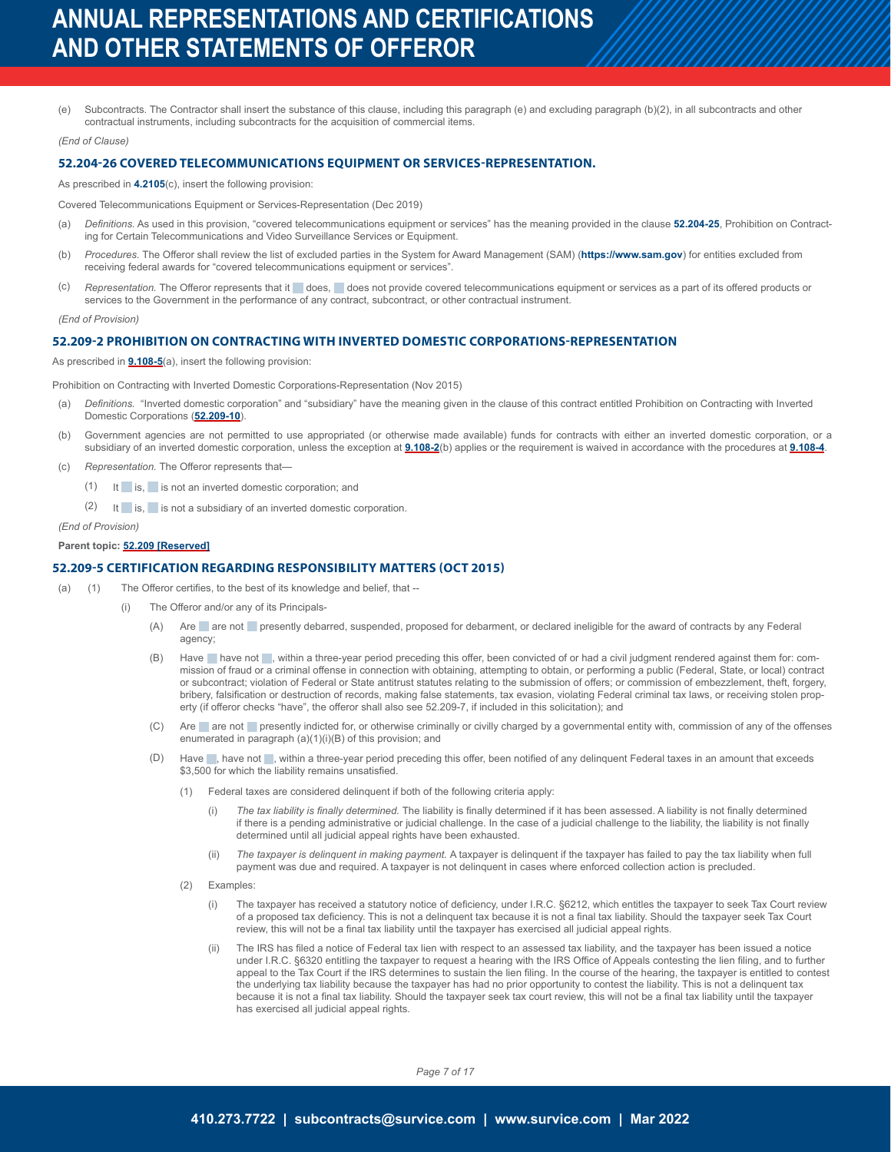(e) Subcontracts. The Contractor shall insert the substance of this clause, including this paragraph (e) and excluding paragraph (b)(2), in all subcontracts and other contractual instruments, including subcontracts for the acquisition of commercial items.

## *(End of Clause)*

### **52.204-26 COVERED TELECOMMUNICATIONS EQUIPMENT OR SERVICES-REPRESENTATION.**

As prescribed in **[4.2105](https://www.acquisition.gov/far/part-4#FAR_4_2105)**(c), insert the following provision:

Covered Telecommunications Equipment or Services-Representation (Dec 2019)

- (a) *Definitions.* As used in this provision, "covered telecommunications equipment or services" has the meaning provided in the clause **[52.204-25](https://www.acquisition.gov/far/part-52#FAR_52_204_25)**, Prohibition on Contracting for Certain Telecommunications and Video Surveillance Services or Equipment.
- (b) *Procedures.* The Offeror shall review the list of excluded parties in the System for Award Management (SAM) (**[https://www.sam.gov](https://www.sam.gov/)**) for entities excluded from receiving federal awards for "covered telecommunications equipment or services".
- (c) *Representation.* The Offeror represents that it does, does not provide covered telecommunications equipment or services as a part of its offered products or services to the Government in the performance of any contract, subcontract, or other contractual instrument.

#### *(End of Provision)*

### **52.209-2 PROHIBITION ON CONTRACTING WITH INVERTED DOMESTIC CORPORATIONS-REPRESENTATION**

As prescribed in **[9.108-5](https://www.acquisition.gov/content/9108-5-solicitation-provision-and-contract-clause#i1116431)**(a), insert the following provision:

Prohibition on Contracting with Inverted Domestic Corporations-Representation (Nov 2015)

- (a) *Definitions.* "Inverted domestic corporation" and "subsidiary" have the meaning given in the clause of this contract entitled Prohibition on Contracting with Inverted Domestic Corporations (**[52.209-10](https://www.acquisition.gov/content/52209-10-prohibition-contracting-inverted-domestic-corporations#i1062680)**).
- (b) Government agencies are not permitted to use appropriated (or otherwise made available) funds for contracts with either an inverted domestic corporation, or a subsidiary of an inverted domestic corporation, unless the exception at **[9.108-2](https://www.acquisition.gov/content/9108-2-prohibition#i1116407)**(b) applies or the requirement is waived in accordance with the procedures at **[9.108-4](https://www.acquisition.gov/content/9108-4-waiver#i1116422)**.
- (c) *Representation.* The Offeror represents that—
	- $(1)$  It is, is not an inverted domestic corporation; and
	- $(2)$  It is, is not a subsidiary of an inverted domestic corporation.

*(End of Provision)*

### **Parent topic: [52.209 \[Reserved\]](https://www.acquisition.gov/content/52209-reserved)**

### **52.209-5 CERTIFICATION REGARDING RESPONSIBILITY MATTERS (OCT 2015)**

- (a) (1) The Offeror certifies, to the best of its knowledge and belief, that --
	- (i) The Offeror and/or any of its Principals-
		- (A) Are are not presently debarred, suspended, proposed for debarment, or declared ineligible for the award of contracts by any Federal agency;
		- (B) Have have not , within a three-year period preceding this offer, been convicted of or had a civil judgment rendered against them for: commission of fraud or a criminal offense in connection with obtaining, attempting to obtain, or performing a public (Federal, State, or local) contract or subcontract; violation of Federal or State antitrust statutes relating to the submission of offers; or commission of embezzlement, theft, forgery, bribery, falsification or destruction of records, making false statements, tax evasion, violating Federal criminal tax laws, or receiving stolen property (if offeror checks "have", the offeror shall also see 52.209-7, if included in this solicitation); and
		- (C) Are are not presently indicted for, or otherwise criminally or civilly charged by a governmental entity with, commission of any of the offenses enumerated in paragraph (a)(1)(i)(B) of this provision; and
		- (D) Have , have not , within a three-year period preceding this offer, been notified of any delinquent Federal taxes in an amount that exceeds \$3,500 for which the liability remains unsatisfied.
			- (1) Federal taxes are considered delinquent if both of the following criteria apply:
				- (i) *The tax liability is finally determined.* The liability is finally determined if it has been assessed. A liability is not finally determined if there is a pending administrative or judicial challenge. In the case of a judicial challenge to the liability, the liability is not finally determined until all judicial appeal rights have been exhausted.
				- (ii) *The taxpayer is delinquent in making payment.* A taxpayer is delinquent if the taxpayer has failed to pay the tax liability when full payment was due and required. A taxpayer is not delinquent in cases where enforced collection action is precluded.
			- (2) Examples:
				- (i) The taxpayer has received a statutory notice of deficiency, under I.R.C. §6212, which entitles the taxpayer to seek Tax Court review of a proposed tax deficiency. This is not a delinquent tax because it is not a final tax liability. Should the taxpayer seek Tax Court review, this will not be a final tax liability until the taxpayer has exercised all judicial appeal rights.
				- The IRS has filed a notice of Federal tax lien with respect to an assessed tax liability, and the taxpayer has been issued a notice under I.R.C. §6320 entitling the taxpayer to request a hearing with the IRS Office of Appeals contesting the lien filing, and to further appeal to the Tax Court if the IRS determines to sustain the lien filing. In the course of the hearing, the taxpayer is entitled to contest the underlying tax liability because the taxpayer has had no prior opportunity to contest the liability. This is not a delinquent tax because it is not a final tax liability. Should the taxpayer seek tax court review, this will not be a final tax liability until the taxpayer has exercised all judicial appeal rights.

*Page 7 of 17*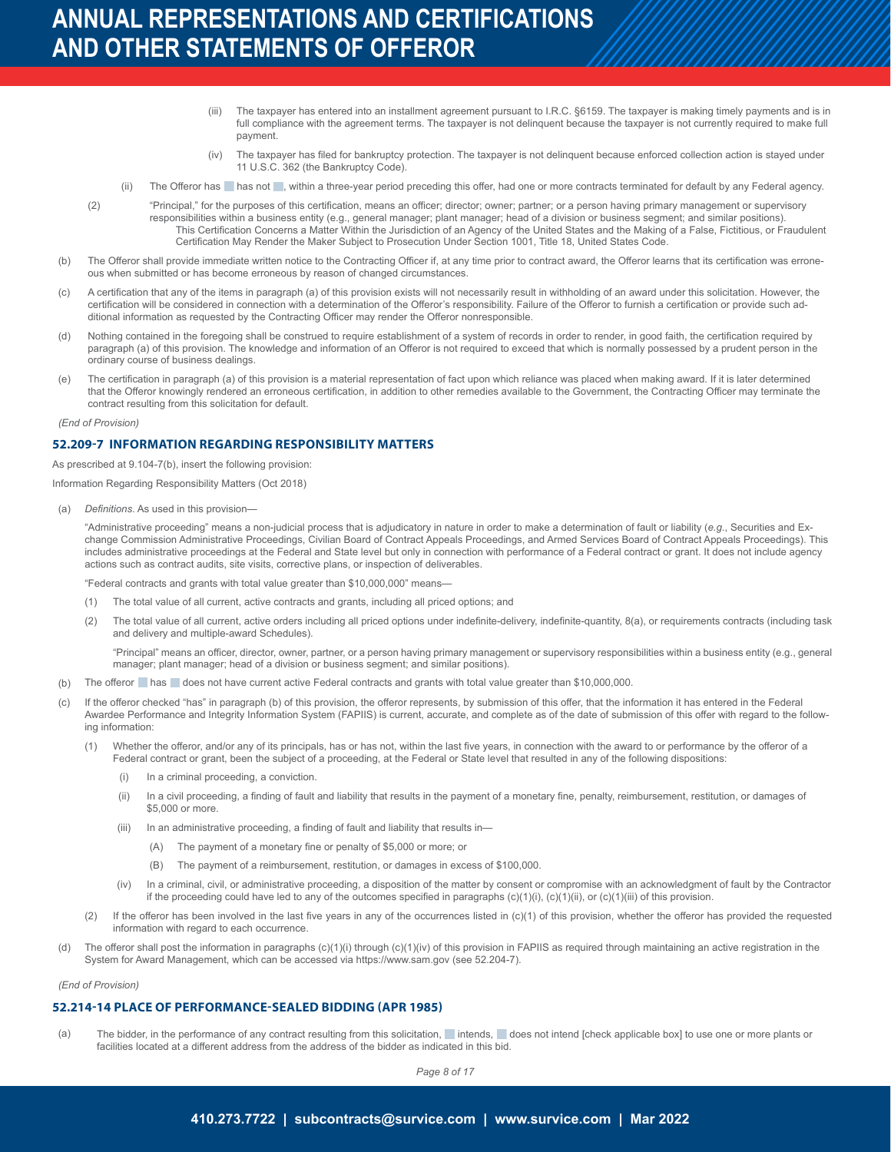- (iii) The taxpayer has entered into an installment agreement pursuant to I.R.C. §6159. The taxpayer is making timely payments and is in full compliance with the agreement terms. The taxpayer is not delinquent because the taxpayer is not currently required to make full payment.
- (iv) The taxpayer has filed for bankruptcy protection. The taxpayer is not delinquent because enforced collection action is stayed under 11 U.S.C. 362 (the Bankruptcy Code).
- (ii) The Offeror has has not , within a three-year period preceding this offer, had one or more contracts terminated for default by any Federal agency.
- (2) "Principal," for the purposes of this certification, means an officer; director; owner; partner; or a person having primary management or supervisory responsibilities within a business entity (e.g., general manager; plant manager; head of a division or business segment; and similar positions). This Certification Concerns a Matter Within the Jurisdiction of an Agency of the United States and the Making of a False, Fictitious, or Fraudulent Certification May Render the Maker Subject to Prosecution Under Section 1001, Title 18, United States Code.
- (b) The Offeror shall provide immediate written notice to the Contracting Officer if, at any time prior to contract award, the Offeror learns that its certification was erroneous when submitted or has become erroneous by reason of changed circumstances.
- (c) A certification that any of the items in paragraph (a) of this provision exists will not necessarily result in withholding of an award under this solicitation. However, the certification will be considered in connection with a determination of the Offeror's responsibility. Failure of the Offeror to furnish a certification or provide such additional information as requested by the Contracting Officer may render the Offeror nonresponsible.
- (d) Nothing contained in the foregoing shall be construed to require establishment of a system of records in order to render, in good faith, the certification required by paragraph (a) of this provision. The knowledge and information of an Offeror is not required to exceed that which is normally possessed by a prudent person in the ordinary course of business dealings.
- (e) The certification in paragraph (a) of this provision is a material representation of fact upon which reliance was placed when making award. If it is later determined that the Offeror knowingly rendered an erroneous certification, in addition to other remedies available to the Government, the Contracting Officer may terminate the contract resulting from this solicitation for default.

### *(End of Provision)*

### **52.209-7 INFORMATION REGARDING RESPONSIBILITY MATTERS**

As prescribed at 9.104-7(b), insert the following provision:

Information Regarding Responsibility Matters (Oct 2018)

(a) *Definitions*. As used in this provision—

"Administrative proceeding" means a non-judicial process that is adjudicatory in nature in order to make a determination of fault or liability (*e.g.*, Securities and Exchange Commission Administrative Proceedings, Civilian Board of Contract Appeals Proceedings, and Armed Services Board of Contract Appeals Proceedings). This includes administrative proceedings at the Federal and State level but only in connection with performance of a Federal contract or grant. It does not include agency actions such as contract audits, site visits, corrective plans, or inspection of deliverables.

"Federal contracts and grants with total value greater than \$10,000,000" means—

- (1) The total value of all current, active contracts and grants, including all priced options; and
- (2) The total value of all current, active orders including all priced options under indefinite-delivery, indefinite-quantity, 8(a), or requirements contracts (including task and delivery and multiple-award Schedules).

"Principal" means an officer, director, owner, partner, or a person having primary management or supervisory responsibilities within a business entity (e.g., general manager; plant manager; head of a division or business segment; and similar positions).

- (b) The offeror has does not have current active Federal contracts and grants with total value greater than \$10,000,000.
- (c) If the offeror checked "has" in paragraph (b) of this provision, the offeror represents, by submission of this offer, that the information it has entered in the Federal Awardee Performance and Integrity Information System (FAPIIS) is current, accurate, and complete as of the date of submission of this offer with regard to the following information:
	- (1) Whether the offeror, and/or any of its principals, has or has not, within the last five years, in connection with the award to or performance by the offeror of a Federal contract or grant, been the subject of a proceeding, at the Federal or State level that resulted in any of the following dispositions:
		- (i) In a criminal proceeding, a conviction.
		- (ii) In a civil proceeding, a finding of fault and liability that results in the payment of a monetary fine, penalty, reimbursement, restitution, or damages of \$5,000 or more.
		- (iii) In an administrative proceeding, a finding of fault and liability that results in-
			- (A) The payment of a monetary fine or penalty of \$5,000 or more; or
			- (B) The payment of a reimbursement, restitution, or damages in excess of \$100,000.
		- (iv) In a criminal, civil, or administrative proceeding, a disposition of the matter by consent or compromise with an acknowledgment of fault by the Contractor if the proceeding could have led to any of the outcomes specified in paragraphs (c)(1)(i), (c)(1)(ii), or (c)(1)(iii) of this provision.
	- (2) If the offeror has been involved in the last five years in any of the occurrences listed in (c)(1) of this provision, whether the offeror has provided the requested information with regard to each occurrence.
- The offeror shall post the information in paragraphs (c)(1)(i) through (c)(1)(iv) of this provision in FAPIIS as required through maintaining an active registration in the System for Award Management, which can be accessed via https://www.sam.gov (see 52.204-7).

#### *(End of Provision)*

### **52.214-14 PLACE OF PERFORMANCE-SEALED BIDDING (APR 1985)**

(a) The bidder, in the performance of any contract resulting from this solicitation, intends, does not intend [check applicable box] to use one or more plants or facilities located at a different address from the address of the bidder as indicated in this bid.

*Page 8 of 17*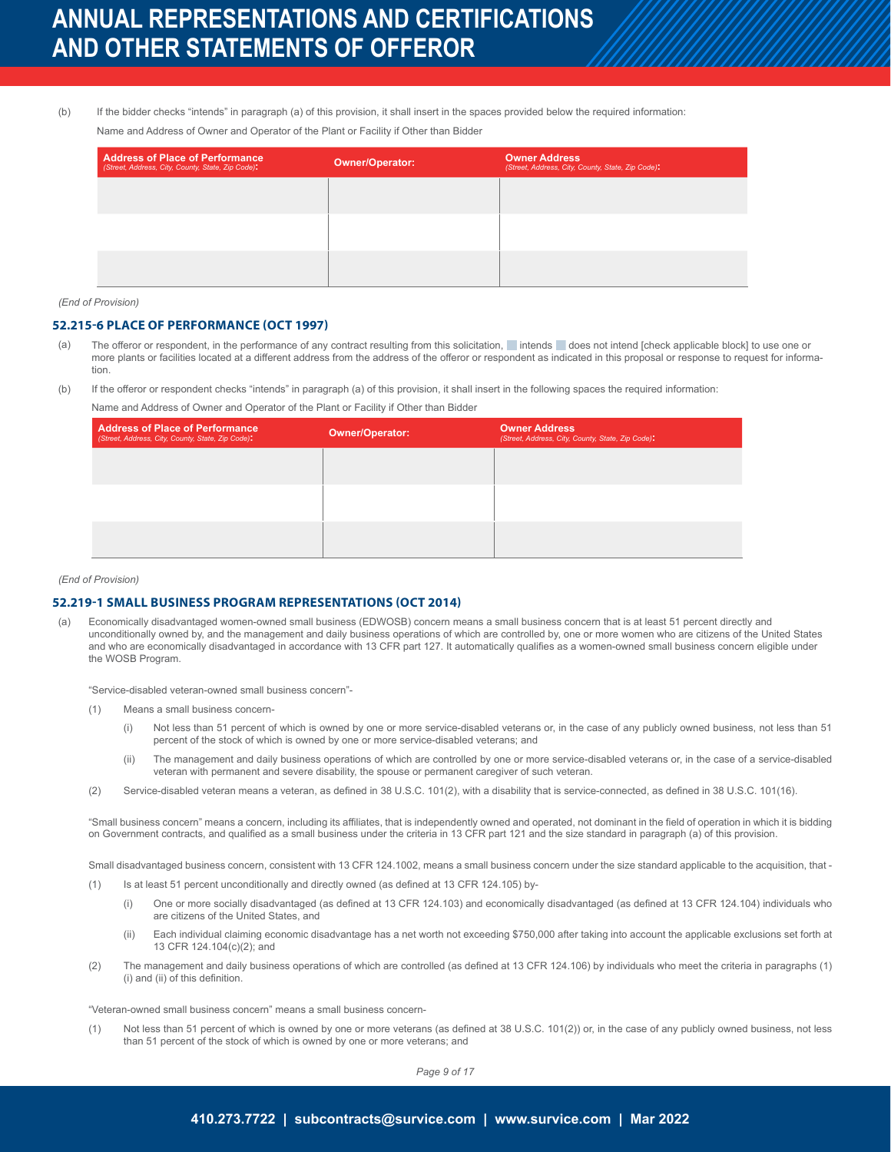(b) If the bidder checks "intends" in paragraph (a) of this provision, it shall insert in the spaces provided below the required information:

Name and Address of Owner and Operator of the Plant or Facility if Other than Bidder

| Address of Place of Performance<br>(Street, Address, City, County, State, Zip Code): | Owner/Operator: | <b>Owner Address</b><br>(Street, Address, City, County, State, Zip Code): |
|--------------------------------------------------------------------------------------|-----------------|---------------------------------------------------------------------------|
|                                                                                      |                 |                                                                           |
|                                                                                      |                 |                                                                           |
|                                                                                      |                 |                                                                           |
|                                                                                      |                 |                                                                           |

*(End of Provision)*

### **52.215-6 PLACE OF PERFORMANCE (OCT 1997)**

- (a) The offeror or respondent, in the performance of any contract resulting from this solicitation, intends does not intend [check applicable block] to use one or more plants or facilities located at a different address from the address of the offeror or respondent as indicated in this proposal or response to request for information.
- (b) If the offeror or respondent checks "intends" in paragraph (a) of this provision, it shall insert in the following spaces the required information:

Name and Address of Owner and Operator of the Plant or Facility if Other than Bidder

| <b>Address of Place of Performance</b><br>(Street, Address, City, County, State, Zip Code): | Owner/Operator: | <b>Owner Address</b><br>(Street, Address, City, County, State, Zip Code): |
|---------------------------------------------------------------------------------------------|-----------------|---------------------------------------------------------------------------|
|                                                                                             |                 |                                                                           |
|                                                                                             |                 |                                                                           |
|                                                                                             |                 |                                                                           |
|                                                                                             |                 |                                                                           |

#### *(End of Provision)*

### **52.219-1 SMALL BUSINESS PROGRAM REPRESENTATIONS (OCT 2014)**

(a) Economically disadvantaged women-owned small business (EDWOSB) concern means a small business concern that is at least 51 percent directly and unconditionally owned by, and the management and daily business operations of which are controlled by, one or more women who are citizens of the United States and who are economically disadvantaged in accordance with 13 CFR part 127. It automatically qualifies as a women-owned small business concern eligible under the WOSB Program.

"Service-disabled veteran-owned small business concern"-

- (1) Means a small business concern-
	- (i) Not less than 51 percent of which is owned by one or more service-disabled veterans or, in the case of any publicly owned business, not less than 51 percent of the stock of which is owned by one or more service-disabled veterans; and
	- (ii) The management and daily business operations of which are controlled by one or more service-disabled veterans or, in the case of a service-disabled veteran with permanent and severe disability, the spouse or permanent caregiver of such veteran.
- (2) Service-disabled veteran means a veteran, as defined in 38 U.S.C. 101(2), with a disability that is service-connected, as defined in 38 U.S.C. 101(16).

"Small business concern" means a concern, including its affiliates, that is independently owned and operated, not dominant in the field of operation in which it is bidding on Government contracts, and qualified as a small business under the criteria in 13 CFR part 121 and the size standard in paragraph (a) of this provision.

Small disadvantaged business concern, consistent with 13 CFR 124.1002, means a small business concern under the size standard applicable to the acquisition, that -

- (1) Is at least 51 percent unconditionally and directly owned (as defined at 13 CFR 124.105) by-
	- (i) One or more socially disadvantaged (as defined at 13 CFR 124.103) and economically disadvantaged (as defined at 13 CFR 124.104) individuals who are citizens of the United States, and
	- (ii) Each individual claiming economic disadvantage has a net worth not exceeding \$750,000 after taking into account the applicable exclusions set forth at 13 CFR 124.104(c)(2); and
- (2) The management and daily business operations of which are controlled (as defined at 13 CFR 124.106) by individuals who meet the criteria in paragraphs (1) (i) and (ii) of this definition.

"Veteran-owned small business concern" means a small business concern-

(1) Not less than 51 percent of which is owned by one or more veterans (as defined at 38 U.S.C. 101(2)) or, in the case of any publicly owned business, not less than 51 percent of the stock of which is owned by one or more veterans; and

*Page 9 of 17*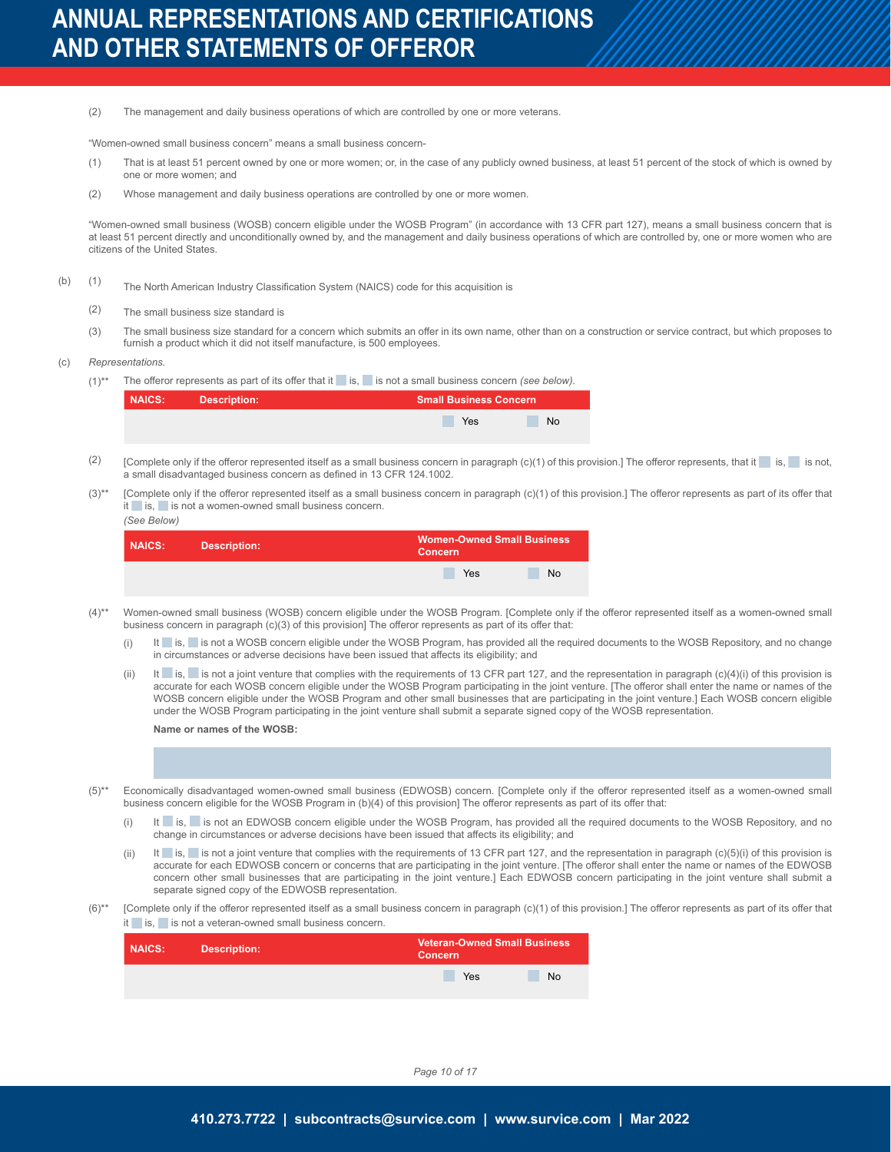#### (2) The management and daily business operations of which are controlled by one or more veterans.

"Women-owned small business concern" means a small business concern-

- (1) That is at least 51 percent owned by one or more women; or, in the case of any publicly owned business, at least 51 percent of the stock of which is owned by one or more women; and
- (2) Whose management and daily business operations are controlled by one or more women.

"Women-owned small business (WOSB) concern eligible under the WOSB Program" (in accordance with 13 CFR part 127), means a small business concern that is at least 51 percent directly and unconditionally owned by, and the management and daily business operations of which are controlled by, one or more women who are citizens of the United States.

- (b) (1) The North American Industry Classification System (NAICS) code for this acquisition is
	- (2) The small business size standard is
	- (3) The small business size standard for a concern which submits an offer in its own name, other than on a construction or service contract, but which proposes to furnish a product which it did not itself manufacture, is 500 employees.
- (c) *Representations.*
	- (1)\*\* The offeror represents as part of its offer that it is, is not a small business concern *(see below)*.

| NAICS: | Description: | <b>Small Business Concern</b> |  |
|--------|--------------|-------------------------------|--|
|        |              | Yes<br>No                     |  |

- (2) [Complete only if the offeror represented itself as a small business concern in paragraph (c)(1) of this provision.] The offeror represents, that it is, is not, a small disadvantaged business concern as defined in 13 CFR 124.1002.
- (3)<sup>\*\*</sup> [Complete only if the offeror represented itself as a small business concern in paragraph (c)(1) of this provision.] The offeror represents as part of its offer that it is, is not a women-owned small business concern. *(See Below)*

| NAICS: | Description: | <b>Women-Owned Small Business</b><br><b>Concern</b> |
|--------|--------------|-----------------------------------------------------|
|        |              | Yes<br><b>No</b>                                    |

- (4)\*\* Women-owned small business (WOSB) concern eligible under the WOSB Program. [Complete only if the offeror represented itself as a women-owned small business concern in paragraph (c)(3) of this provision] The offeror represents as part of its offer that:
	- (i) It is, is not a WOSB concern eligible under the WOSB Program, has provided all the required documents to the WOSB Repository, and no change in circumstances or adverse decisions have been issued that affects its eligibility; and
	- (ii) It is, is not a joint venture that complies with the requirements of 13 CFR part 127, and the representation in paragraph (c)(4)(i) of this provision is accurate for each WOSB concern eligible under the WOSB Program participating in the joint venture. [The offeror shall enter the name or names of the WOSB concern eligible under the WOSB Program and other small businesses that are participating in the joint venture.] Each WOSB concern eligible under the WOSB Program participating in the joint venture shall submit a separate signed copy of the WOSB representation.

**Name or names of the WOSB:**

- (5)\*\* Economically disadvantaged women-owned small business (EDWOSB) concern. [Complete only if the offeror represented itself as a women-owned small business concern eligible for the WOSB Program in (b)(4) of this provision] The offeror represents as part of its offer that:
	- (i) It is, is not an EDWOSB concern eligible under the WOSB Program, has provided all the required documents to the WOSB Repository, and no change in circumstances or adverse decisions have been issued that affects its eligibility; and
	- (ii) It is, is not a joint venture that complies with the requirements of 13 CFR part 127, and the representation in paragraph (c)(5)(i) of this provision is accurate for each EDWOSB concern or concerns that are participating in the joint venture. [The offeror shall enter the name or names of the EDWOSB concern other small businesses that are participating in the joint venture.] Each EDWOSB concern participating in the joint venture shall submit a separate signed copy of the EDWOSB representation.
- (6)\*\* [Complete only if the offeror represented itself as a small business concern in paragraph (c)(1) of this provision.] The offeror represents as part of its offer that it is, is not a veteran-owned small business concern.

| <b>NAICS:</b> | Description: | <b>Veteran-Owned Small Business</b><br><b>Concern</b> |           |
|---------------|--------------|-------------------------------------------------------|-----------|
|               |              | Yes                                                   | <b>No</b> |

*Page 10 of 17*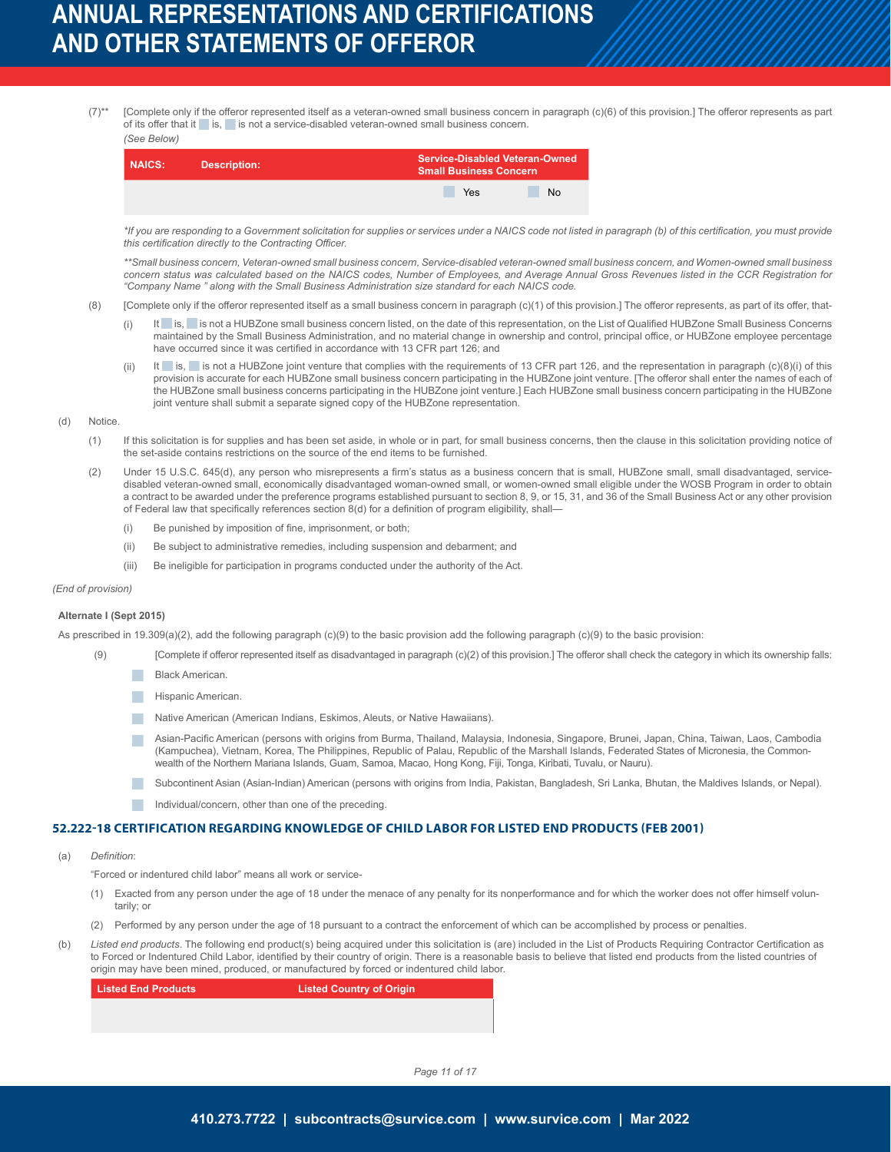$(7)$ <sup>\*\*</sup> [Complete only if the offeror represented itself as a veteran-owned small business concern in paragraph (c)(6) of this provision.] The offeror represents as part of its offer that it is, is not a service-disabled veteran-owned small business concern. *(See Below)* 

| l NAICS: \ | <b>Description:</b> | <b>Service-Disabled Veteran-Owned</b><br><b>Small Business Concern</b> |
|------------|---------------------|------------------------------------------------------------------------|
|            |                     | No<br>Yes                                                              |

*\*If you are responding to a Government solicitation for supplies or services under a NAICS code not listed in paragraph (b) of this certification, you must provide this certification directly to the Contracting Officer.*

*\*\*Small business concern, Veteran-owned small business concern, Service-disabled veteran-owned small business concern, and Women-owned small business concern status was calculated based on the NAICS codes, Number of Employees, and Average Annual Gross Revenues listed in the CCR Registration for "Company Name " along with the Small Business Administration size standard for each NAICS code.*

- (8) [Complete only if the offeror represented itself as a small business concern in paragraph (c)(1) of this provision.] The offeror represents, as part of its offer, that-
	- It is, is not a HUBZone small business concern listed, on the date of this representation, on the List of Qualified HUBZone Small Business Concerns maintained by the Small Business Administration, and no material change in ownership and control, principal office, or HUBZone employee percentage have occurred since it was certified in accordance with 13 CFR part 126; and
	- (ii) It is, is not a HUBZone joint venture that complies with the requirements of 13 CFR part 126, and the representation in paragraph (c)(8)(i) of this provision is accurate for each HUBZone small business concern participating in the HUBZone joint venture. [The offeror shall enter the names of each of the HUBZone small business concerns participating in the HUBZone joint venture.] Each HUBZone small business concern participating in the HUBZone joint venture shall submit a separate signed copy of the HUBZone representation.

### (d) Notice.

- (1) If this solicitation is for supplies and has been set aside, in whole or in part, for small business concerns, then the clause in this solicitation providing notice of the set-aside contains restrictions on the source of the end items to be furnished.
- (2) Under 15 U.S.C. 645(d), any person who misrepresents a firm's status as a business concern that is small, HUBZone small, small disadvantaged, servicedisabled veteran-owned small, economically disadvantaged woman-owned small, or women-owned small eligible under the WOSB Program in order to obtain a contract to be awarded under the preference programs established pursuant to section 8, 9, or 15, 31, and 36 of the Small Business Act or any other provision of Federal law that specifically references section 8(d) for a definition of program eligibility, shall—
	- (i) Be punished by imposition of fine, imprisonment, or both;
	- (ii) Be subject to administrative remedies, including suspension and debarment; and
	- (iii) Be ineligible for participation in programs conducted under the authority of the Act.

### *(End of provision)*

### **Alternate I (Sept 2015)**

As prescribed in 19.309(a)(2), add the following paragraph (c)(9) to the basic provision add the following paragraph (c)(9) to the basic provision:

- (9) [Complete if offeror represented itself as disadvantaged in paragraph (c)(2) of this provision.] The offeror shall check the category in which its ownership falls:
	- **College** Black American.
	- $\mathcal{L}_{\mathcal{A}}$ Hispanic American.
	- Native American (American Indians, Eskimos, Aleuts, or Native Hawaiians).  $\sim$
	- Asian-Pacific American (persons with origins from Burma, Thailand, Malaysia, Indonesia, Singapore, Brunei, Japan, China, Taiwan, Laos, Cambodia (Kampuchea), Vietnam, Korea, The Philippines, Republic of Palau, Republic of the Marshall Islands, Federated States of Micronesia, the Commonwealth of the Northern Mariana Islands, Guam, Samoa, Macao, Hong Kong, Fiji, Tonga, Kiribati, Tuvalu, or Nauru).
	- Subcontinent Asian (Asian-Indian) American (persons with origins from India, Pakistan, Bangladesh, Sri Lanka, Bhutan, the Maldives Islands, or Nepal).
	- Individual/concern, other than one of the preceding.

### **52.222-18 CERTIFICATION REGARDING KNOWLEDGE OF CHILD LABOR FOR LISTED END PRODUCTS (FEB 2001)**

(a) *Definition*:

"Forced or indentured child labor" means all work or service-

- (1) Exacted from any person under the age of 18 under the menace of any penalty for its nonperformance and for which the worker does not offer himself voluntarily; or
- (2) Performed by any person under the age of 18 pursuant to a contract the enforcement of which can be accomplished by process or penalties.
- (b) *Listed end products*. The following end product(s) being acquired under this solicitation is (are) included in the List of Products Requiring Contractor Certification as to Forced or Indentured Child Labor, identified by their country of origin. There is a reasonable basis to believe that listed end products from the listed countries of origin may have been mined, produced, or manufactured by forced or indentured child labor.

| <b>Listed End Products</b> | <b>Listed Country of Origin</b> |
|----------------------------|---------------------------------|
|                            |                                 |

*Page 11 of 17*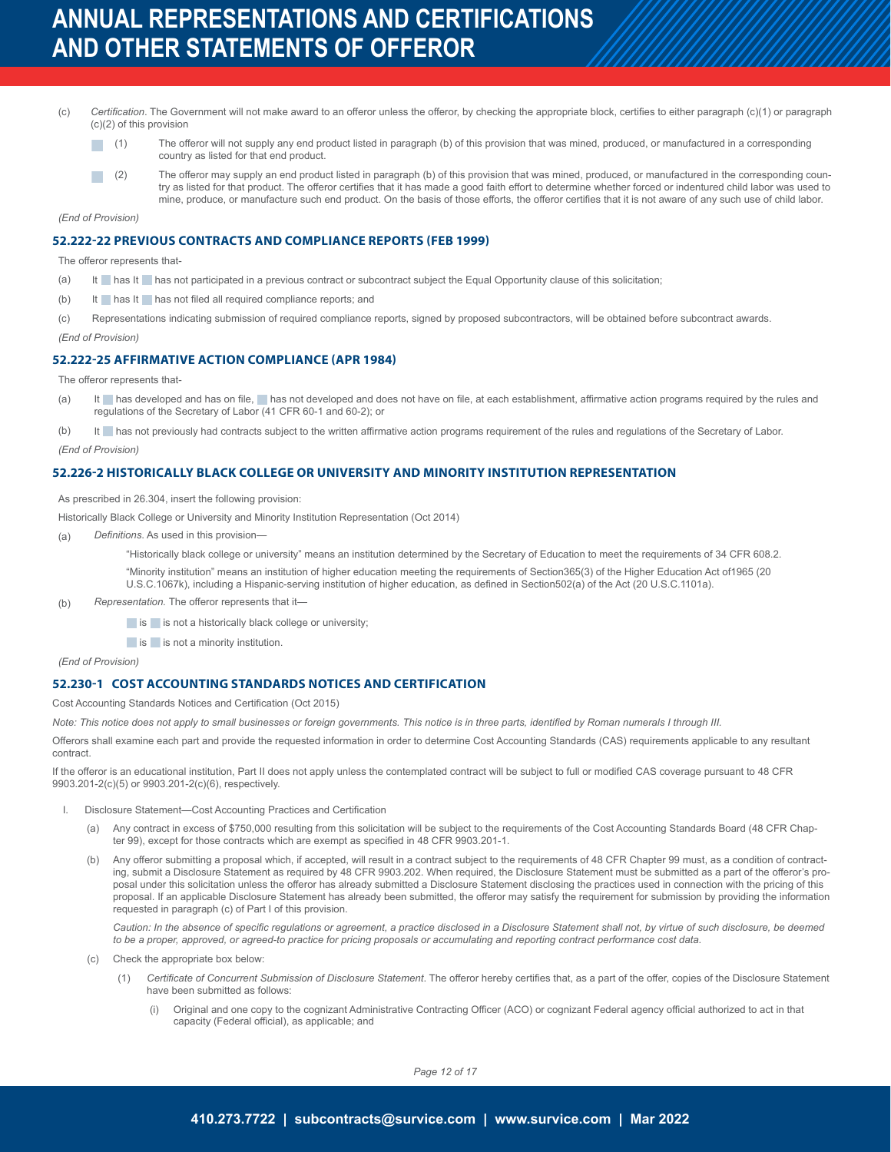| (c) Certification. The Government will not make award to an offeror unless the offeror, by checking the appropriate block, certifies to either paragraph (c)(1) or paragraph |
|------------------------------------------------------------------------------------------------------------------------------------------------------------------------------|
| $(c)(2)$ of this provision                                                                                                                                                   |



(1) The offeror will not supply any end product listed in paragraph (b) of this provision that was mined, produced, or manufactured in a corresponding country as listed for that end product.

(2) The offeror may supply an end product listed in paragraph (b) of this provision that was mined, produced, or manufactured in the corresponding country as listed for that product. The offeror certifies that it has made a good faith effort to determine whether forced or indentured child labor was used to mine, produce, or manufacture such end product. On the basis of those efforts, the offeror certifies that it is not aware of any such use of child labor.

*(End of Provision)*

## **52.222-22 PREVIOUS CONTRACTS AND COMPLIANCE REPORTS (FEB 1999)**

The offeror represents that-

- (a) It has It has not participated in a previous contract or subcontract subject the Equal Opportunity clause of this solicitation;
- (b) It has It has not filed all required compliance reports; and
- (c) Representations indicating submission of required compliance reports, signed by proposed subcontractors, will be obtained before subcontract awards.

*(End of Provision)*

### **52.222-25 AFFIRMATIVE ACTION COMPLIANCE (APR 1984)**

- The offeror represents that-
- (a) It has developed and has on file, has not developed and does not have on file, at each establishment, affirmative action programs required by the rules and regulations of the Secretary of Labor (41 CFR 60-1 and 60-2); or
- (b) It has not previously had contracts subject to the written affirmative action programs requirement of the rules and regulations of the Secretary of Labor.

*(End of Provision)* 

### **52.226-2 HISTORICALLY BLACK COLLEGE OR UNIVERSITY AND MINORITY INSTITUTION REPRESENTATION**

As prescribed in 26.304, insert the following provision:

Historically Black College or University and Minority Institution Representation (Oct 2014)

(a) *Definitions*. As used in this provision—

"Historically black college or university" means an institution determined by the Secretary of Education to meet the requirements of 34 CFR 608.2.

- "Minority institution" means an institution of higher education meeting the requirements of Section365(3) of the Higher Education Act of1965 (20
- U.S.C.1067k), including a Hispanic-serving institution of higher education, as defined in Section502(a) of the Act (20 U.S.C.1101a).
- (b) *Representation.* The offeror represents that it—

 $\blacksquare$  is  $\blacksquare$  is not a historically black college or university;

**is** is not a minority institution.

*(End of Provision)* 

### **52.230-1 COST ACCOUNTING STANDARDS NOTICES AND CERTIFICATION**

Cost Accounting Standards Notices and Certification (Oct 2015)

*Note: This notice does not apply to small businesses or foreign governments. This notice is in three parts, identified by Roman numerals I through III.* 

Offerors shall examine each part and provide the requested information in order to determine Cost Accounting Standards (CAS) requirements applicable to any resultant contract.

If the offeror is an educational institution, Part II does not apply unless the contemplated contract will be subject to full or modified CAS coverage pursuant to 48 CFR 9903.201-2(c)(5) or 9903.201-2(c)(6), respectively.

- I. Disclosure Statement—Cost Accounting Practices and Certification
	- (a) Any contract in excess of \$750,000 resulting from this solicitation will be subject to the requirements of the Cost Accounting Standards Board (48 CFR Chapter 99), except for those contracts which are exempt as specified in 48 CFR 9903.201-1.
	- (b) Any offeror submitting a proposal which, if accepted, will result in a contract subject to the requirements of 48 CFR Chapter 99 must, as a condition of contracting, submit a Disclosure Statement as required by 48 CFR 9903.202. When required, the Disclosure Statement must be submitted as a part of the offeror's proposal under this solicitation unless the offeror has already submitted a Disclosure Statement disclosing the practices used in connection with the pricing of this proposal. If an applicable Disclosure Statement has already been submitted, the offeror may satisfy the requirement for submission by providing the information requested in paragraph (c) of Part I of this provision.

Caution: In the absence of specific regulations or agreement, a practice disclosed in a Disclosure Statement shall not, by virtue of such disclosure, be deemed *to be a proper, approved, or agreed-to practice for pricing proposals or accumulating and reporting contract performance cost data.* 

- (c) Check the appropriate box below:
	- (1) *Certificate of Concurrent Submission of Disclosure Statement*. The offeror hereby certifies that, as a part of the offer, copies of the Disclosure Statement have been submitted as follows:
		- (i) Original and one copy to the cognizant Administrative Contracting Officer (ACO) or cognizant Federal agency official authorized to act in that capacity (Federal official), as applicable; and

*Page 12 of 17*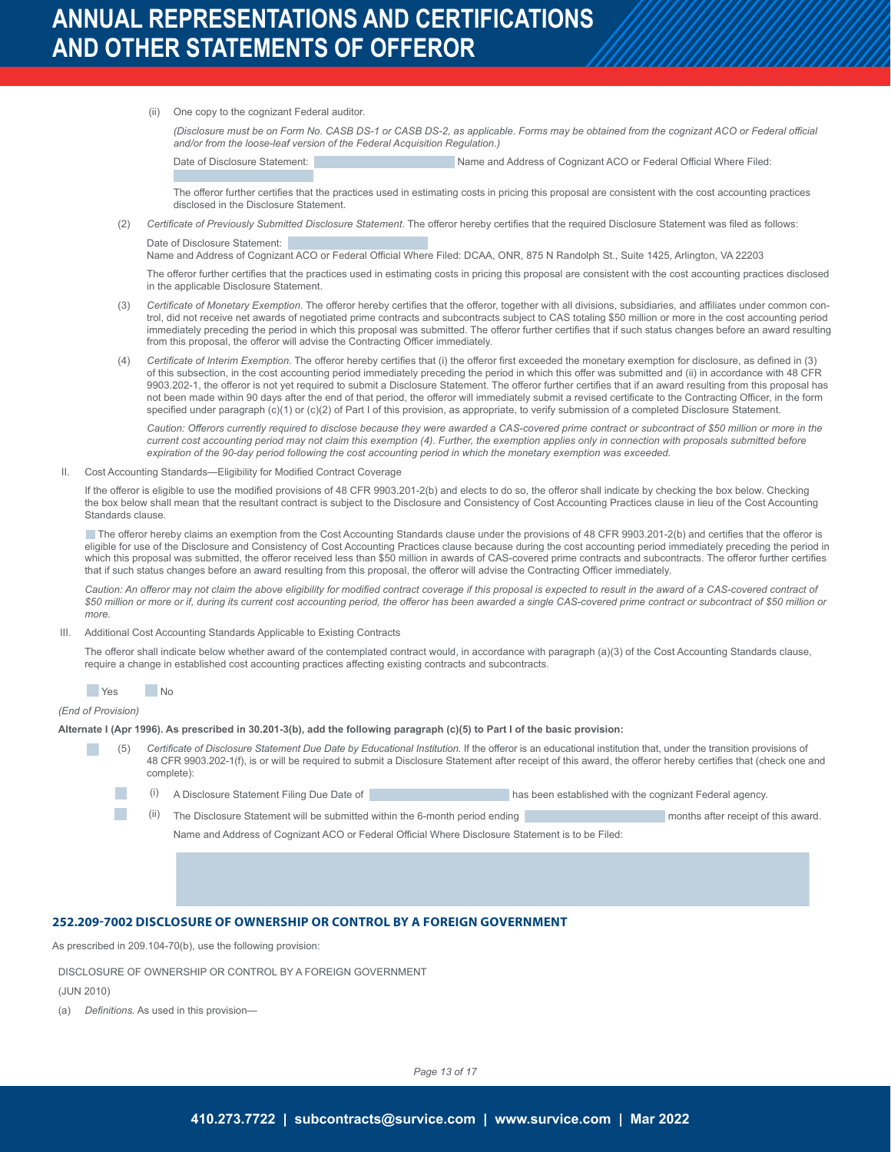(ii) One copy to the cognizant Federal auditor.

*(Disclosure must be on Form No. CASB DS-1 or CASB DS-2, as applicable. Forms may be obtained from the cognizant ACO or Federal official and/or from the loose-leaf version of the Federal Acquisition Regulation.)* 

Date of Disclosure Statement: Name and Address of Cognizant ACO or Federal Official Where Filed:

The offeror further certifies that the practices used in estimating costs in pricing this proposal are consistent with the cost accounting practices disclosed in the Disclosure Statement.

(2) *Certificate of Previously Submitted Disclosure Statement*. The offeror hereby certifies that the required Disclosure Statement was filed as follows: Date of Disclosure Statement:

Name and Address of Cognizant ACO or Federal Official Where Filed: DCAA, ONR, 875 N Randolph St., Suite 1425, Arlington, VA 22203

The offeror further certifies that the practices used in estimating costs in pricing this proposal are consistent with the cost accounting practices disclosed in the applicable Disclosure Statement.

- (3) *Certificate of Monetary Exemption*. The offeror hereby certifies that the offeror, together with all divisions, subsidiaries, and affiliates under common control, did not receive net awards of negotiated prime contracts and subcontracts subject to CAS totaling \$50 million or more in the cost accounting period immediately preceding the period in which this proposal was submitted. The offeror further certifies that if such status changes before an award resulting from this proposal, the offeror will advise the Contracting Officer immediately.
- (4) *Certificate of Interim Exemption*. The offeror hereby certifies that (i) the offeror first exceeded the monetary exemption for disclosure, as defined in (3) of this subsection, in the cost accounting period immediately preceding the period in which this offer was submitted and (ii) in accordance with 48 CFR 9903.202-1, the offeror is not yet required to submit a Disclosure Statement. The offeror further certifies that if an award resulting from this proposal has not been made within 90 days after the end of that period, the offeror will immediately submit a revised certificate to the Contracting Officer, in the form specified under paragraph (c)(1) or (c)(2) of Part I of this provision, as appropriate, to verify submission of a completed Disclosure Statement.

*Caution: Offerors currently required to disclose because they were awarded a CAS-covered prime contract or subcontract of \$50 million or more in the current cost accounting period may not claim this exemption (4). Further, the exemption applies only in connection with proposals submitted before expiration of the 90-day period following the cost accounting period in which the monetary exemption was exceeded.* 

Cost Accounting Standards-Eligibility for Modified Contract Coverage

If the offeror is eligible to use the modified provisions of 48 CFR 9903.201-2(b) and elects to do so, the offeror shall indicate by checking the box below. Checking the box below shall mean that the resultant contract is subject to the Disclosure and Consistency of Cost Accounting Practices clause in lieu of the Cost Accounting Standards clause.

The offeror hereby claims an exemption from the Cost Accounting Standards clause under the provisions of 48 CFR 9903.201-2(b) and certifies that the offeror is eligible for use of the Disclosure and Consistency of Cost Accounting Practices clause because during the cost accounting period immediately preceding the period in which this proposal was submitted, the offeror received less than \$50 million in awards of CAS-covered prime contracts and subcontracts. The offeror further certifies that if such status changes before an award resulting from this proposal, the offeror will advise the Contracting Officer immediately.

Caution: An offeror may not claim the above eligibility for modified contract coverage if this proposal is expected to result in the award of a CAS-covered contract of *\$50 million or more or if, during its current cost accounting period, the offeror has been awarded a single CAS-covered prime contract or subcontract of \$50 million or more.* 

III. Additional Cost Accounting Standards Applicable to Existing Contracts

The offeror shall indicate below whether award of the contemplated contract would, in accordance with paragraph (a)(3) of the Cost Accounting Standards clause, require a change in established cost accounting practices affecting existing contracts and subcontracts.

### **Yes** No

 $\mathcal{L}_{\mathcal{A}}$ 

*(End of Provision)*

### **Alternate I (Apr 1996). As prescribed in 30.201-3(b), add the following paragraph (c)(5) to Part I of the basic provision:**

- Certificate of Disclosure Statement Due Date by Educational Institution. If the offeror is an educational institution that, under the transition provisions of 48 CFR 9903.202-1(f), is or will be required to submit a Disclosure Statement after receipt of this award, the offeror hereby certifies that (check one and complete):
	- (i) A Disclosure Statement Filing Due Date of has been established with the cognizant Federal agency.

(ii) The Disclosure Statement will be submitted within the 6-month period ending months after receipt of this award.

Name and Address of Cognizant ACO or Federal Official Where Disclosure Statement is to be Filed:

### **252.209-7002 DISCLOSURE OF OWNERSHIP OR CONTROL BY A FOREIGN GOVERNMENT**

As prescribed in 209.104-70(b), use the following provision:

DISCLOSURE OF OWNERSHIP OR CONTROL BY A FOREIGN GOVERNMENT

(JUN 2010)

(a) *Definitions.* As used in this provision—

*Page 13 of 17*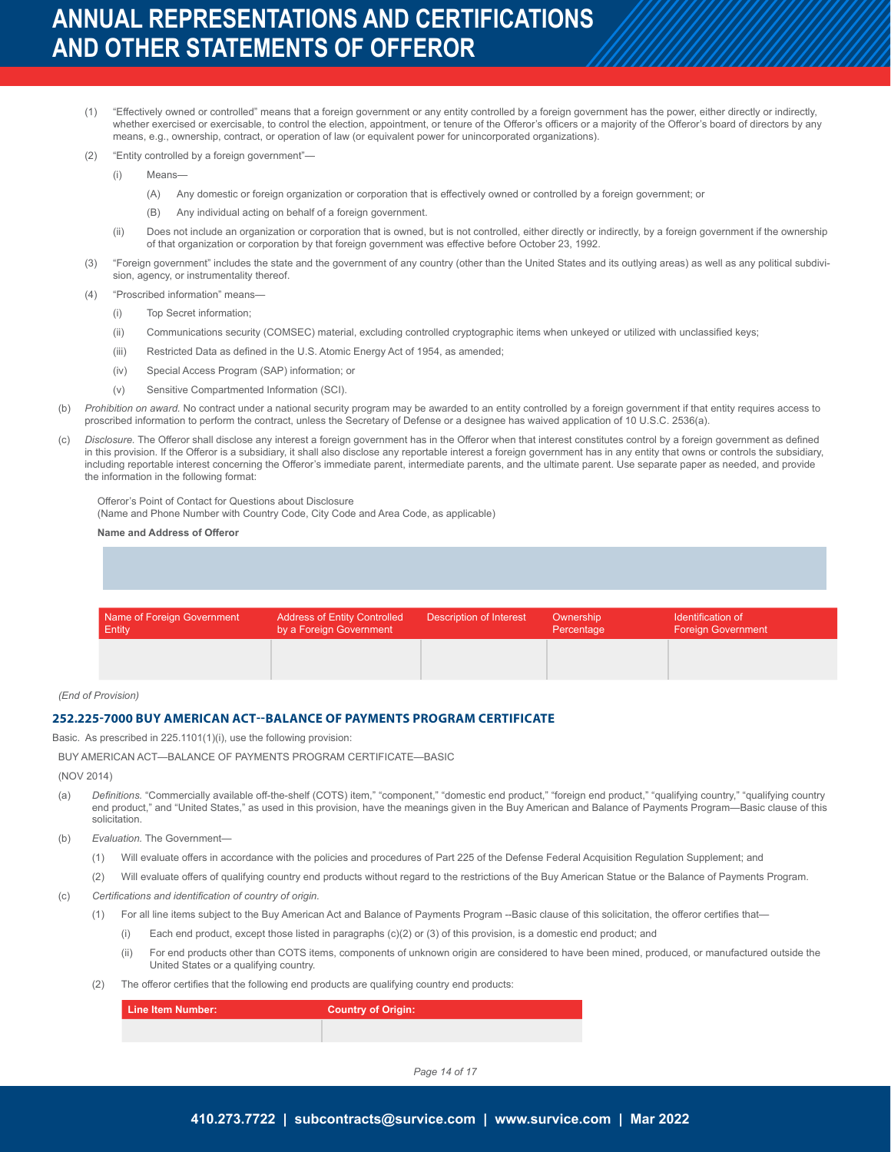- (1) "Effectively owned or controlled" means that a foreign government or any entity controlled by a foreign government has the power, either directly or indirectly, whether exercised or exercisable, to control the election, appointment, or tenure of the Offeror's officers or a majority of the Offeror's board of directors by any means, e.g., ownership, contract, or operation of law (or equivalent power for unincorporated organizations).
- (2) "Entity controlled by a foreign government"—
	- (i) Means—
		- (A) Any domestic or foreign organization or corporation that is effectively owned or controlled by a foreign government; or
		- (B) Any individual acting on behalf of a foreign government.
	- (ii) Does not include an organization or corporation that is owned, but is not controlled, either directly or indirectly, by a foreign government if the ownership of that organization or corporation by that foreign government was effective before October 23, 1992.
- (3) "Foreign government" includes the state and the government of any country (other than the United States and its outlying areas) as well as any political subdivision, agency, or instrumentality thereof.
- (4) "Proscribed information" means—
	- (i) Top Secret information;
	- (ii) Communications security (COMSEC) material, excluding controlled cryptographic items when unkeyed or utilized with unclassified keys;
	- (iii) Restricted Data as defined in the U.S. Atomic Energy Act of 1954, as amended;
	- (iv) Special Access Program (SAP) information; or
	- (v) Sensitive Compartmented Information (SCI).
- (b) *Prohibition on award.* No contract under a national security program may be awarded to an entity controlled by a foreign government if that entity requires access to proscribed information to perform the contract, unless the Secretary of Defense or a designee has waived application of 10 U.S.C. 2536(a).
- (c) *Disclosure.* The Offeror shall disclose any interest a foreign government has in the Offeror when that interest constitutes control by a foreign government as defined in this provision. If the Offeror is a subsidiary, it shall also disclose any reportable interest a foreign government has in any entity that owns or controls the subsidiary, including reportable interest concerning the Offeror's immediate parent, intermediate parents, and the ultimate parent. Use separate paper as needed, and provide the information in the following format:

Offeror's Point of Contact for Questions about Disclosure (Name and Phone Number with Country Code, City Code and Area Code, as applicable)

### **Name and Address of Offeror**

| Name of Foreign Government<br>Entity | <b>Address of Entity Controlled</b><br>by a Foreign Government | Description of Interest | Ownership<br>Percentage | Identification of<br><b>Foreign Government</b> |
|--------------------------------------|----------------------------------------------------------------|-------------------------|-------------------------|------------------------------------------------|
|                                      |                                                                |                         |                         |                                                |
|                                      |                                                                |                         |                         |                                                |

#### *(End of Provision)*

### **252.225-7000 BUY AMERICAN ACT--BALANCE OF PAYMENTS PROGRAM CERTIFICATE**

Basic. As prescribed in 225.1101(1)(i), use the following provision:

BUY AMERICAN ACT—BALANCE OF PAYMENTS PROGRAM CERTIFICATE—BASIC

(NOV 2014)

- (a) Definitions. "Commercially available off-the-shelf (COTS) item," "component," "domestic end product," "foreign end product," "qualifying country," "qualifying country," "qualifying country end product," and "United States," as used in this provision, have the meanings given in the Buy American and Balance of Payments Program—Basic clause of this solicitation.
- (b) *Evaluation.* The Government—
	- (1) Will evaluate offers in accordance with the policies and procedures of Part 225 of the Defense Federal Acquisition Regulation Supplement; and
	- (2) Will evaluate offers of qualifying country end products without regard to the restrictions of the Buy American Statue or the Balance of Payments Program.
- (c) *Certifications and identification of country of origin.*
	- (1) For all line items subject to the Buy American Act and Balance of Payments Program --Basic clause of this solicitation, the offeror certifies that—
		- (i) Each end product, except those listed in paragraphs (c)(2) or (3) of this provision, is a domestic end product; and
		- (ii) For end products other than COTS items, components of unknown origin are considered to have been mined, produced, or manufactured outside the United States or a qualifying country.
	- (2) The offeror certifies that the following end products are qualifying country end products:

**Line Item Number: Country of Origin:** 

*Page 14 of 17*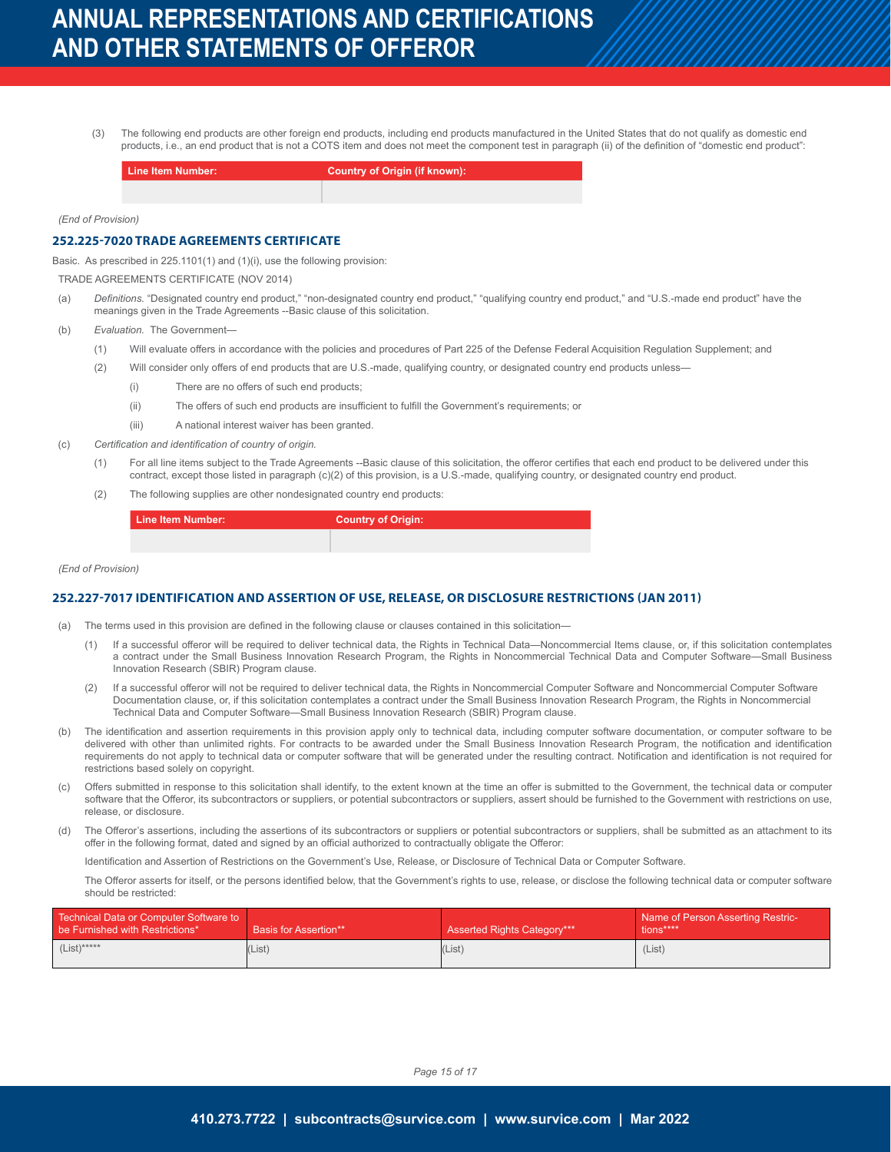(3) The following end products are other foreign end products, including end products manufactured in the United States that do not qualify as domestic end products, i.e., an end product that is not a COTS item and does not meet the component test in paragraph (ii) of the definition of "domestic end product":

**Line Item Number: Country of Origin (if known):** 

*(End of Provision)* 

### **252.225-7020 TRADE AGREEMENTS CERTIFICATE**

Basic. As prescribed in 225.1101(1) and (1)(i), use the following provision:

TRADE AGREEMENTS CERTIFICATE (NOV 2014)

- (a) *Definitions.* "Designated country end product," "non-designated country end product," "qualifying country end product," and "U.S.-made end product" have the meanings given in the Trade Agreements --Basic clause of this solicitation.
- (b) *Evaluation*. The Government-
	- (1) Will evaluate offers in accordance with the policies and procedures of Part 225 of the Defense Federal Acquisition Regulation Supplement; and
	- (2) Will consider only offers of end products that are U.S.-made, qualifying country, or designated country end products unless—
		- (i) There are no offers of such end products;
		- (ii) The offers of such end products are insufficient to fulfill the Government's requirements; or
		- (iii) A national interest waiver has been granted.
- (c) *Certification and identification of country of origin.*
	- (1) For all line items subject to the Trade Agreements --Basic clause of this solicitation, the offeror certifies that each end product to be delivered under this contract, except those listed in paragraph (c)(2) of this provision, is a U.S.-made, qualifying country, or designated country end product.
	- (2) The following supplies are other nondesignated country end products:

| <b>Country of Origin:</b> |
|---------------------------|
|                           |
|                           |

*(End of Provision)* 

## **252.227-7017 IDENTIFICATION AND ASSERTION OF USE, RELEASE, OR DISCLOSURE RESTRICTIONS (JAN 2011)**

- (a) The terms used in this provision are defined in the following clause or clauses contained in this solicitation—
	- If a successful offeror will be required to deliver technical data, the Rights in Technical Data—Noncommercial Items clause, or, if this solicitation contemplates a contract under the Small Business Innovation Research Program, the Rights in Noncommercial Technical Data and Computer Software—Small Business Innovation Research (SBIR) Program clause.
	- (2) If a successful offeror will not be required to deliver technical data, the Rights in Noncommercial Computer Software and Noncommercial Computer Software Documentation clause, or, if this solicitation contemplates a contract under the Small Business Innovation Research Program, the Rights in Noncommercial Technical Data and Computer Software—Small Business Innovation Research (SBIR) Program clause.
- (b) The identification and assertion requirements in this provision apply only to technical data, including computer software documentation, or computer software to be delivered with other than unlimited rights. For contracts to be awarded under the Small Business Innovation Research Program, the notification and identification requirements do not apply to technical data or computer software that will be generated under the resulting contract. Notification and identification is not required for restrictions based solely on copyright.
- (c) Offers submitted in response to this solicitation shall identify, to the extent known at the time an offer is submitted to the Government, the technical data or computer software that the Offeror, its subcontractors or suppliers, or potential subcontractors or suppliers, assert should be furnished to the Government with restrictions on use, release, or disclosure.
- (d) The Offeror's assertions, including the assertions of its subcontractors or suppliers or potential subcontractors or suppliers, shall be submitted as an attachment to its offer in the following format, dated and signed by an official authorized to contractually obligate the Offeror:

Identification and Assertion of Restrictions on the Government's Use, Release, or Disclosure of Technical Data or Computer Software.

The Offeror asserts for itself, or the persons identified below, that the Government's rights to use, release, or disclose the following technical data or computer software should be restricted:

| Technical Data or Computer Software to<br>be Furnished with Restrictions* | Basis for Assertion** | Asserted Rights Category*** | Name of Person Asserting Restric-<br>tions**** |
|---------------------------------------------------------------------------|-----------------------|-----------------------------|------------------------------------------------|
| $(List)$ *****                                                            | (List)                | (List)                      | (List)                                         |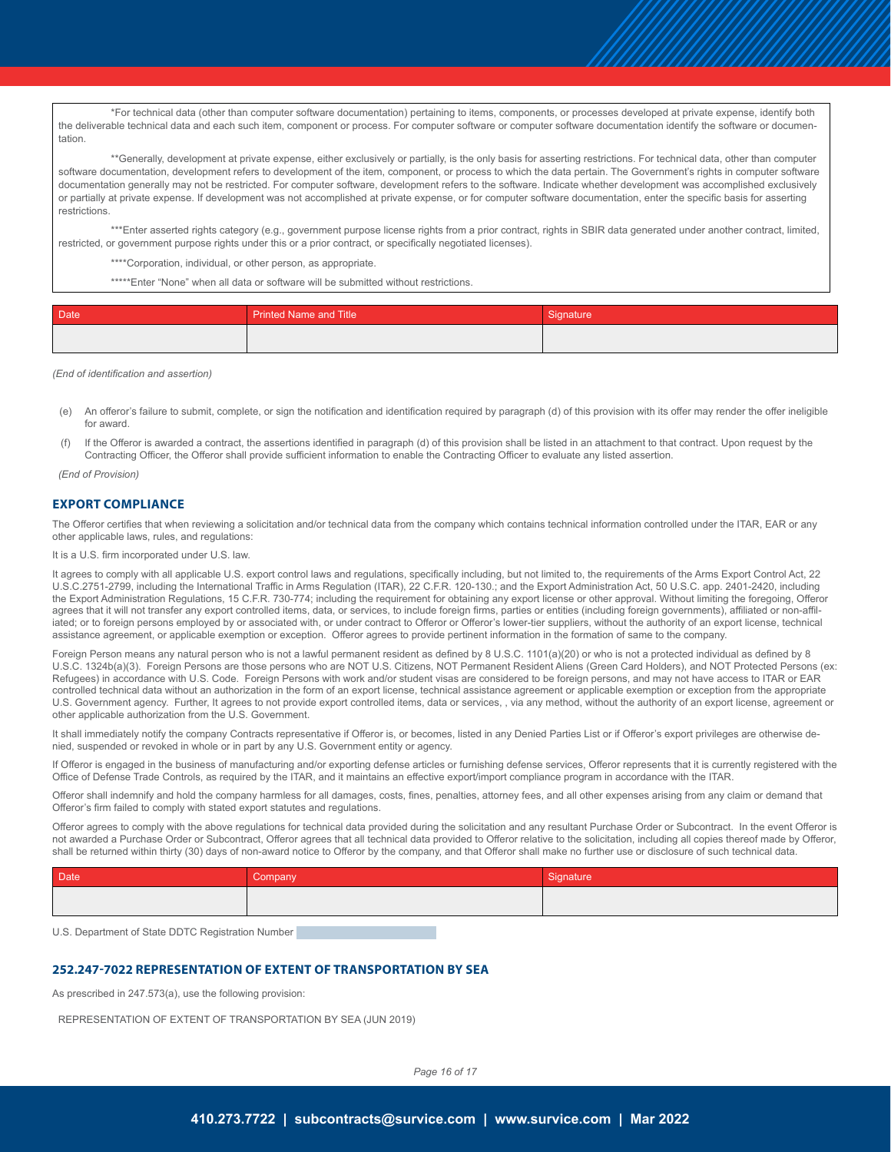\*For technical data (other than computer software documentation) pertaining to items, components, or processes developed at private expense, identify both the deliverable technical data and each such item, component or process. For computer software or computer software documentation identify the software or documentation.

\*\*Generally, development at private expense, either exclusively or partially, is the only basis for asserting restrictions. For technical data, other than computer software documentation, development refers to development of the item, component, or process to which the data pertain. The Government's rights in computer software documentation generally may not be restricted. For computer software, development refers to the software. Indicate whether development was accomplished exclusively or partially at private expense. If development was not accomplished at private expense, or for computer software documentation, enter the specific basis for asserting restrictions.

\*\*\*Enter asserted rights category (e.g., government purpose license rights from a prior contract, rights in SBIR data generated under another contract, limited, restricted, or government purpose rights under this or a prior contract, or specifically negotiated licenses).

\*\*\*\*Corporation, individual, or other person, as appropriate.

\*\*\*\*\*Enter "None" when all data or software will be submitted without restrictions.

| <b>Date</b> | Printed Name and Title | Signature |
|-------------|------------------------|-----------|
|             |                        |           |

*(End of identification and assertion)*

- (e) An offeror's failure to submit, complete, or sign the notification and identification required by paragraph (d) of this provision with its offer may render the offer ineligible for award.
- (f) If the Offeror is awarded a contract, the assertions identified in paragraph (d) of this provision shall be listed in an attachment to that contract. Upon request by the Contracting Officer, the Offeror shall provide sufficient information to enable the Contracting Officer to evaluate any listed assertion.

*(End of Provision)*

### **EXPORT COMPLIANCE**

The Offeror certifies that when reviewing a solicitation and/or technical data from the company which contains technical information controlled under the ITAR, EAR or any other applicable laws, rules, and regulations:

It is a U.S. firm incorporated under U.S. law.

It agrees to comply with all applicable U.S. export control laws and regulations, specifically including, but not limited to, the requirements of the Arms Export Control Act, 22 U.S.C.2751-2799, including the International Traffic in Arms Regulation (ITAR), 22 C.F.R. 120-130.; and the Export Administration Act, 50 U.S.C. app. 2401-2420, including the Export Administration Regulations, 15 C.F.R. 730-774; including the requirement for obtaining any export license or other approval. Without limiting the foregoing, Offeror agrees that it will not transfer any export controlled items, data, or services, to include foreign firms, parties or entities (including foreign governments), affiliated or non-affiliated; or to foreign persons employed by or associated with, or under contract to Offeror or Offeror's lower-tier suppliers, without the authority of an export license, technical assistance agreement, or applicable exemption or exception. Offeror agrees to provide pertinent information in the formation of same to the company.

Foreign Person means any natural person who is not a lawful permanent resident as defined by 8 U.S.C. 1101(a)(20) or who is not a protected individual as defined by 8 U.S.C. 1324b(a)(3). Foreign Persons are those persons who are NOT U.S. Citizens, NOT Permanent Resident Aliens (Green Card Holders), and NOT Protected Persons (ex: Refugees) in accordance with U.S. Code. Foreign Persons with work and/or student visas are considered to be foreign persons, and may not have access to ITAR or EAR controlled technical data without an authorization in the form of an export license, technical assistance agreement or applicable exemption or exception from the appropriate U.S. Government agency. Further, It agrees to not provide export controlled items, data or services, , via any method, without the authority of an export license, agreement or other applicable authorization from the U.S. Government.

It shall immediately notify the company Contracts representative if Offeror is, or becomes, listed in any Denied Parties List or if Offeror's export privileges are otherwise denied, suspended or revoked in whole or in part by any U.S. Government entity or agency.

If Offeror is engaged in the business of manufacturing and/or exporting defense articles or furnishing defense services, Offeror represents that it is currently registered with the Office of Defense Trade Controls, as required by the ITAR, and it maintains an effective export/import compliance program in accordance with the ITAR.

Offeror shall indemnify and hold the company harmless for all damages, costs, fines, penalties, attorney fees, and all other expenses arising from any claim or demand that Offeror's firm failed to comply with stated export statutes and regulations.

Offeror agrees to comply with the above regulations for technical data provided during the solicitation and any resultant Purchase Order or Subcontract. In the event Offeror is not awarded a Purchase Order or Subcontract, Offeror agrees that all technical data provided to Offeror relative to the solicitation, including all copies thereof made by Offeror, shall be returned within thirty (30) days of non-award notice to Offeror by the company, and that Offeror shall make no further use or disclosure of such technical data.

| Date <sup>'</sup> | Company | Signature |
|-------------------|---------|-----------|
|                   |         |           |

U.S. Department of State DDTC Registration Number

### **252.247-7022 REPRESENTATION OF EXTENT OF TRANSPORTATION BY SEA**

As prescribed in 247.573(a), use the following provision:

REPRESENTATION OF EXTENT OF TRANSPORTATION BY SEA (JUN 2019)

*Page 16 of 17*